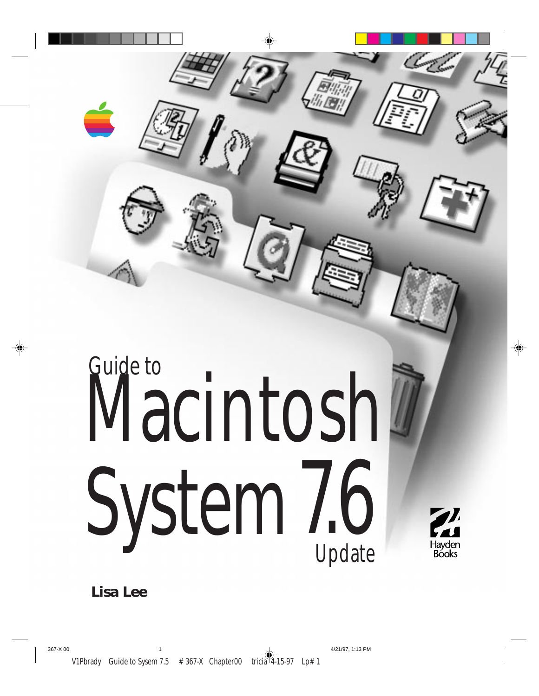# Macintosh System 7.6 Guide to Update

**Lisa Lee**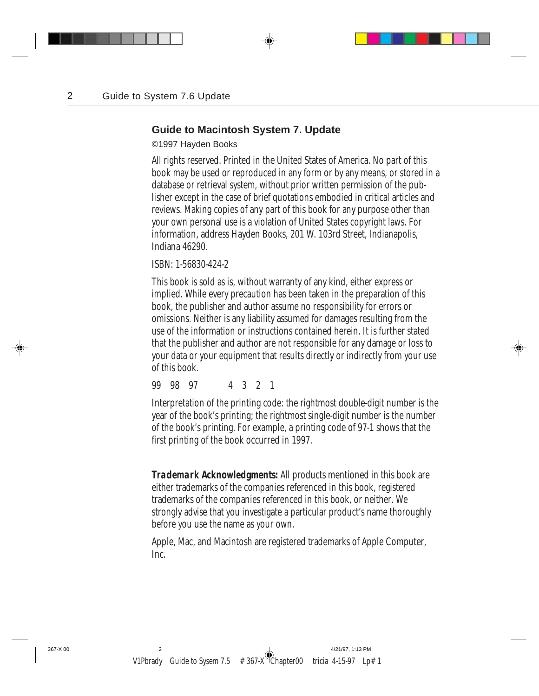#### **Guide to Macintosh System 7. Update**

©1997 Hayden Books

All rights reserved. Printed in the United States of America. No part of this book may be used or reproduced in any form or by any means, or stored in a database or retrieval system, without prior written permission of the publisher except in the case of brief quotations embodied in critical articles and reviews. Making copies of any part of this book for any purpose other than your own personal use is a violation of United States copyright laws. For information, address Hayden Books, 201 W. 103rd Street, Indianapolis, Indiana 46290.

#### ISBN: 1-56830-424-2

This book is sold as is, without warranty of any kind, either express or implied. While every precaution has been taken in the preparation of this book, the publisher and author assume no responsibility for errors or omissions. Neither is any liability assumed for damages resulting from the use of the information or instructions contained herein. It is further stated that the publisher and author are not responsible for any damage or loss to your data or your equipment that results directly or indirectly from your use of this book.

99 98 97 4 3 2 1

Interpretation of the printing code: the rightmost double-digit number is the year of the book's printing; the rightmost single-digit number is the number of the book's printing. For example, a printing code of 97-1 shows that the first printing of the book occurred in 1997.

*Trademark Acknowledgments:* All products mentioned in this book are either trademarks of the companies referenced in this book, registered trademarks of the companies referenced in this book, or neither. We strongly advise that you investigate a particular product's name thoroughly before you use the name as your own.

Apple, Mac, and Macintosh are registered trademarks of Apple Computer, Inc.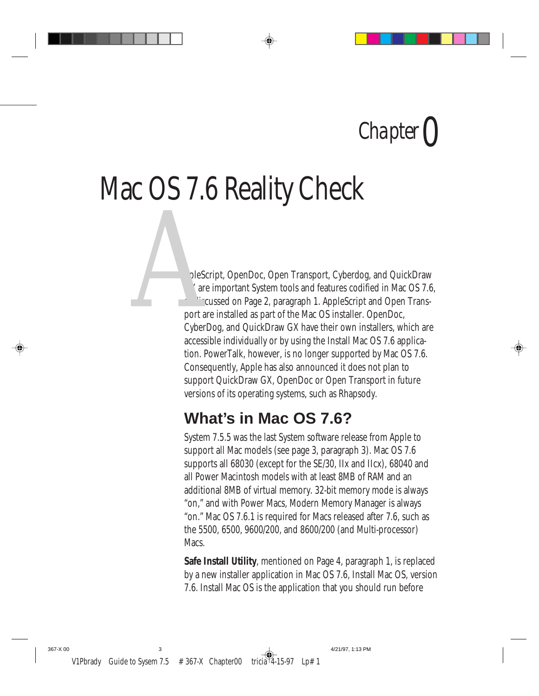# *Chapter*

# Mac OS 7.6 Reality Check *A*

ppleScript, OpenDoc, Open Transport, Cyberdog, and QuickDraw EX are important System tools and features codified in Mac OS 7.6, 's discussed on Page 2, paragraph 1. AppleScript and Open Transport are installed as part of the Mac OS installer. OpenDoc, CyberDog, and QuickDraw GX have their own installers, which are accessible individually or by using the Install Mac OS 7.6 application. PowerTalk, however, is no longer supported by Mac OS 7.6. Consequently, Apple has also announced it does not plan to support QuickDraw GX, OpenDoc or Open Transport in future versions of its operating systems, such as Rhapsody.

# **What's in Mac OS 7.6?**

System 7.5.5 was the last System software release from Apple to support all Mac models (see page 3, paragraph 3). Mac OS 7.6 supports all 68030 (except for the SE/30, IIx and IIcx), 68040 and all Power Macintosh models with at least 8MB of RAM and an additional 8MB of virtual memory. 32-bit memory mode is always "on," and with Power Macs, Modern Memory Manager is always "on." Mac OS 7.6.1 is required for Macs released after 7.6, such as the 5500, 6500, 9600/200, and 8600/200 (and Multi-processor) Macs.

**Safe Install Utility**, mentioned on Page 4, paragraph 1, is replaced by a new installer application in Mac OS 7.6, Install Mac OS, version 7.6. Install Mac OS is the application that you should run before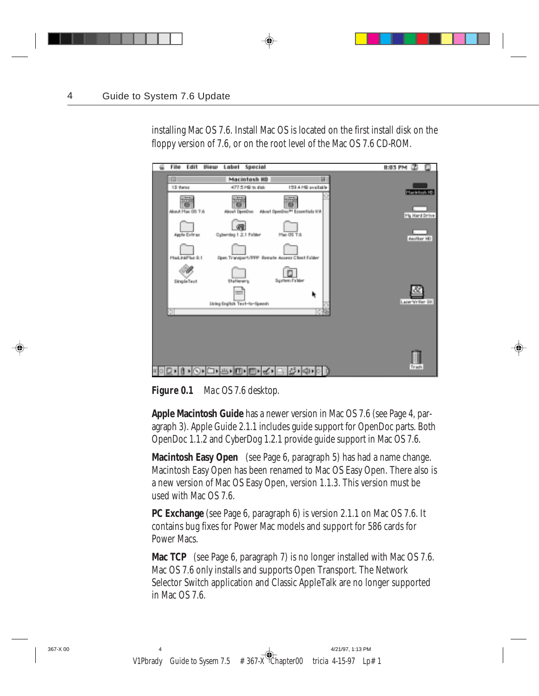installing Mac OS 7.6. Install Mac OS is located on the first install disk on the floppy version of 7.6, or on the root level of the Mac OS 7.6 CD-ROM.

| File<br>Edit                                                                                | Label Special<br><b>Ulieur</b>                                                        |                                                                                                                                            | 8:03 PM ② □                                 |
|---------------------------------------------------------------------------------------------|---------------------------------------------------------------------------------------|--------------------------------------------------------------------------------------------------------------------------------------------|---------------------------------------------|
| 皿<br>13 twns<br>and and street<br>About Mac 08 7.6<br>Apple Extrast<br><b>Maduké ko 9.1</b> | Macintosh HD<br>477.5 MB to did:<br>쯉<br>About DeesDoo<br>œп<br>Cuberdeg 1.2.1 Folder | 區<br>159.4 MB available<br>줄<br>About OpenDoc <sup>as</sup> Essentials IOR<br>Mac 05 T.6<br>Open Transport/PPP Remate Access Client Falder | Macintosh HD<br>My Hard Drive<br>Another HD |
| StrupleText<br>ā                                                                            | Stationery<br>tanni<br>Using English Text-to-Speech                                   | Suctem Fulder<br>k<br>b                                                                                                                    | Laser Viriter GK                            |
| 国の                                                                                          | 8   O   O   A   B   O   B   G   C   O   O   A   K                                     |                                                                                                                                            | Tradh                                       |

*Figure 0.1 Mac OS 7.6 desktop.*

**Apple Macintosh Guide** has a newer version in Mac OS 7.6 (see Page 4, paragraph 3). Apple Guide 2.1.1 includes guide support for OpenDoc parts. Both OpenDoc 1.1.2 and CyberDog 1.2.1 provide guide support in Mac OS 7.6.

**Macintosh Easy Open<sup>™</sup> (see Page 6, paragraph 5) has had a name change.** Macintosh Easy Open has been renamed to Mac OS Easy Open. There also is a new version of Mac OS Easy Open, version 1.1.3. This version must be used with Mac OS 7.6.

**PC Exchange** (see Page 6, paragraph 6) is version 2.1.1 on Mac OS 7.6. It contains bug fixes for Power Mac models and support for 586 cards for Power Macs.

Mac TCP<sup>®</sup> (see Page 6, paragraph 7) is no longer installed with Mac OS 7.6. Mac OS 7.6 only installs and supports Open Transport. The Network Selector Switch application and Classic AppleTalk are no longer supported in Mac  $OS$  7.6.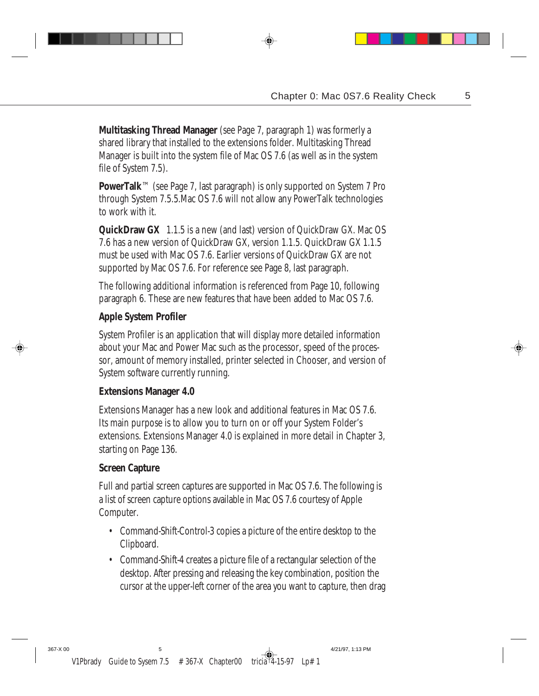**Multitasking Thread Manager** (see Page 7, paragraph 1) was formerly a shared library that installed to the extensions folder. Multitasking Thread Manager is built into the system file of Mac OS 7.6 (as well as in the system file of System 7.5).

**PowerTalk**™ (see Page 7, last paragraph) is only supported on System 7 Pro through System 7.5.5.Mac OS 7.6 will not allow any PowerTalk technologies to work with it.

QuickDraw GX<sup>™</sup> 1.1.5 is a new (and last) version of QuickDraw GX. Mac OS 7.6 has a new version of QuickDraw GX, version 1.1.5. QuickDraw GX 1.1.5 must be used with Mac OS 7.6. Earlier versions of QuickDraw GX are not supported by Mac OS 7.6. For reference see Page 8, last paragraph.

The following additional information is referenced from Page 10, following paragraph 6. These are new features that have been added to Mac OS 7.6.

#### **Apple System Profiler**

System Profiler is an application that will display more detailed information about your Mac and Power Mac such as the processor, speed of the processor, amount of memory installed, printer selected in Chooser, and version of System software currently running.

#### **Extensions Manager 4.0**

Extensions Manager has a new look and additional features in Mac OS 7.6. Its main purpose is to allow you to turn on or off your System Folder's extensions. Extensions Manager 4.0 is explained in more detail in Chapter 3, starting on Page 136.

#### **Screen Capture**

Full and partial screen captures are supported in Mac OS 7.6. The following is a list of screen capture options available in Mac OS 7.6 courtesy of Apple Computer.

- Command-Shift-Control-3 copies a picture of the entire desktop to the Clipboard.
- Command-Shift-4 creates a picture file of a rectangular selection of the desktop. After pressing and releasing the key combination, position the cursor at the upper-left corner of the area you want to capture, then drag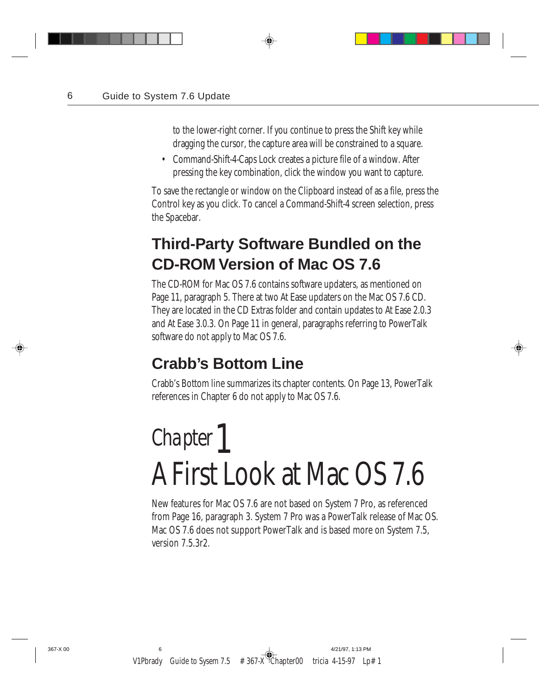to the lower-right corner. If you continue to press the Shift key while dragging the cursor, the capture area will be constrained to a square.

• Command-Shift-4-Caps Lock creates a picture file of a window. After pressing the key combination, click the window you want to capture.

To save the rectangle or window on the Clipboard instead of as a file, press the Control key as you click. To cancel a Command-Shift-4 screen selection, press the Spacebar.

# **Third-Party Software Bundled on the CD-ROM Version of Mac OS 7.6**

The CD-ROM for Mac OS 7.6 contains software updaters, as mentioned on Page 11, paragraph 5. There at two At Ease updaters on the Mac OS 7.6 CD. They are located in the CD Extras folder and contain updates to At Ease 2.0.3 and At Ease 3.0.3. On Page 11 in general, paragraphs referring to PowerTalk software do not apply to Mac OS 7.6.

# **Crabb's Bottom Line**

Crabb's Bottom line summarizes its chapter contents. On Page 13, PowerTalk references in Chapter 6 do not apply to Mac OS 7.6.

# *Chapter*1 A First Look at Mac OS 7.6

New features for Mac OS 7.6 are not based on System 7 Pro, as referenced from Page 16, paragraph 3. System 7 Pro was a PowerTalk release of Mac OS. Mac OS 7.6 does not support PowerTalk and is based more on System 7.5, version 7.5.3r2.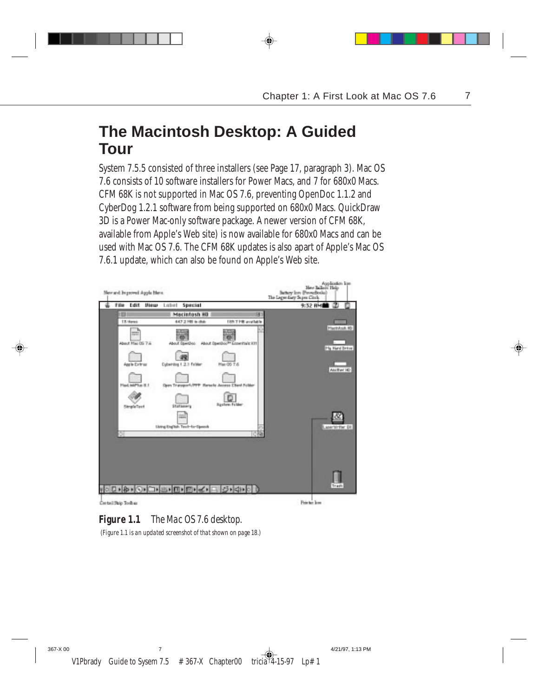# **The Macintosh Desktop: A Guided Tour**

System 7.5.5 consisted of three installers (see Page 17, paragraph 3). Mac OS 7.6 consists of 10 software installers for Power Macs, and 7 for 680x0 Macs. CFM 68K is not supported in Mac OS 7.6, preventing OpenDoc 1.1.2 and CyberDog 1.2.1 software from being supported on 680x0 Macs. QuickDraw 3D is a Power Mac-only software package. A newer version of CFM 68K, available from Apple's Web site) is now available for 680x0 Macs and can be used with Mac OS 7.6. The CFM 68K updates is also apart of Apple's Mac OS 7.6.1 update, which can also be found on Apple's Web site.



#### *Figure 1.1 The Mac OS 7.6 desktop.*

 *(Figure 1.1 is an updated screenshot of that shown on page 18.)*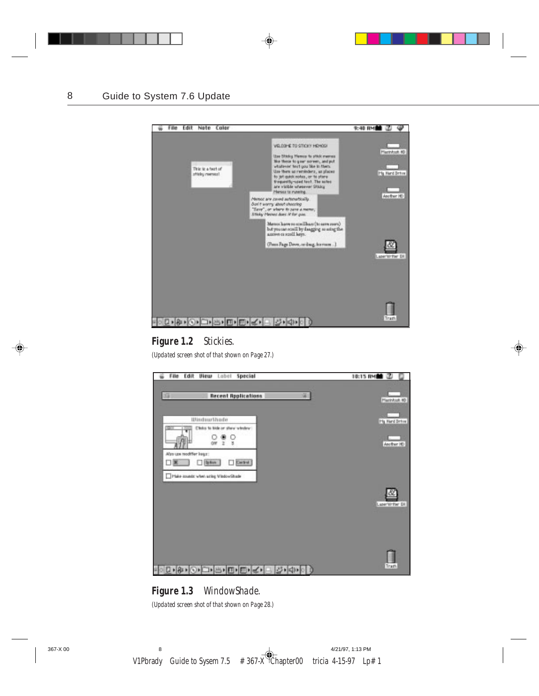

#### *Figure 1.2 Stickies.*

*(Updated screen shot of that shown on Page 27.)*



*Figure 1.3 WindowShade. (Updated screen shot of that shown on Page 28.)*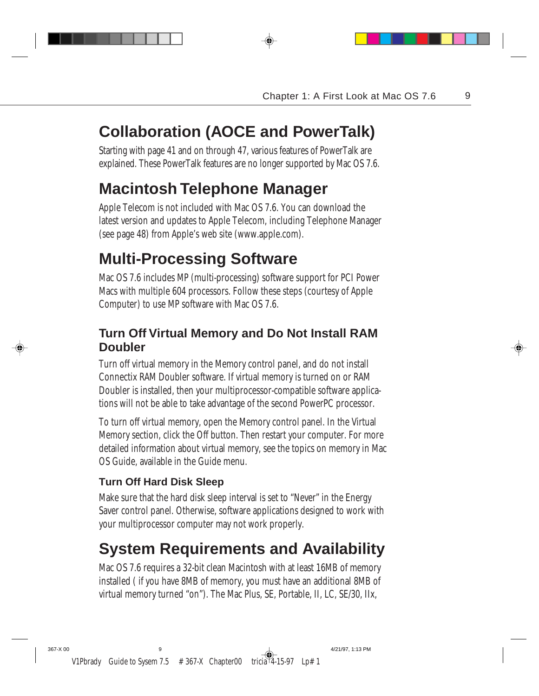# **Collaboration (AOCE and PowerTalk)**

Starting with page 41 and on through 47, various features of PowerTalk are explained. These PowerTalk features are no longer supported by Mac OS 7.6.

# **Macintosh Telephone Manager**

Apple Telecom is not included with Mac OS 7.6. You can download the latest version and updates to Apple Telecom, including Telephone Manager (see page 48) from Apple's web site (www.apple.com).

# **Multi-Processing Software**

Mac OS 7.6 includes MP (multi-processing) software support for PCI Power Macs with multiple 604 processors. Follow these steps (courtesy of Apple Computer) to use MP software with Mac OS 7.6.

### **Turn Off Virtual Memory and Do Not Install RAM Doubler**

Turn off virtual memory in the Memory control panel, and do not install Connectix RAM Doubler software. If virtual memory is turned on or RAM Doubler is installed, then your multiprocessor-compatible software applications will not be able to take advantage of the second PowerPC processor.

To turn off virtual memory, open the Memory control panel. In the Virtual Memory section, click the Off button. Then restart your computer. For more detailed information about virtual memory, see the topics on memory in Mac OS Guide, available in the Guide menu.

#### **Turn Off Hard Disk Sleep**

Make sure that the hard disk sleep interval is set to "Never" in the Energy Saver control panel. Otherwise, software applications designed to work with your multiprocessor computer may not work properly.

# **System Requirements and Availability**

Mac OS 7.6 requires a 32-bit clean Macintosh with at least 16MB of memory installed ( if you have 8MB of memory, you must have an additional 8MB of virtual memory turned "on"). The Mac Plus, SE, Portable, II, LC, SE/30, IIx,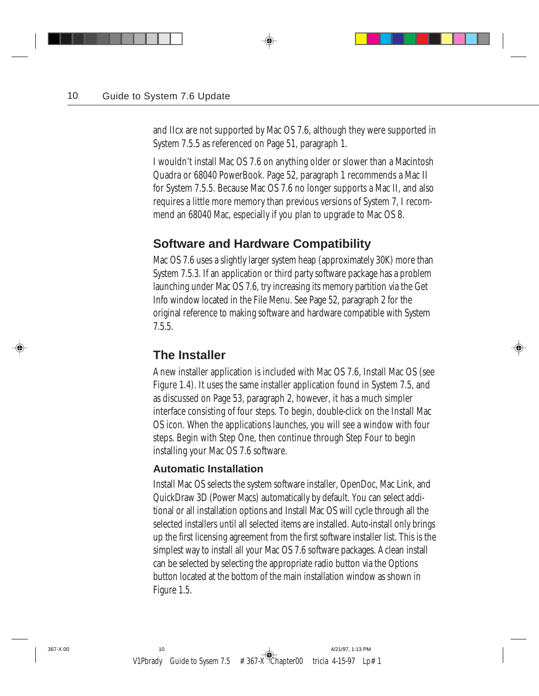and IIcx are not supported by Mac OS 7.6, although they were supported in System 7.5.5 as referenced on Page 51, paragraph 1.

I wouldn't install Mac OS 7.6 on anything older or slower than a Macintosh Quadra or 68040 PowerBook. Page 52, paragraph 1 recommends a Mac II for System 7.5.5. Because Mac OS 7.6 no longer supports a Mac II, and also requires a little more memory than previous versions of System 7, I recommend an 68040 Mac, especially if you plan to upgrade to Mac OS 8.

#### **Software and Hardware Compatibility**

Mac OS 7.6 uses a slightly larger system heap (approximately 30K) more than System 7.5.3. If an application or third party software package has a problem launching under Mac OS 7.6, try increasing its memory partition via the Get Info window located in the File Menu. See Page 52, paragraph 2 for the original reference to making software and hardware compatible with System 7.5.5.

#### **The Installer**

A new installer application is included with Mac OS 7.6, Install Mac OS (see Figure 1.4). It uses the same installer application found in System 7.5, and as discussed on Page 53, paragraph 2, however, it has a much simpler interface consisting of four steps. To begin, double-click on the Install Mac OS icon. When the applications launches, you will see a window with four steps. Begin with Step One, then continue through Step Four to begin installing your Mac OS 7.6 software.

#### **Automatic Installation**

Install Mac OS selects the system software installer, OpenDoc, Mac Link, and QuickDraw 3D (Power Macs) automatically by default. You can select additional or all installation options and Install Mac OS will cycle through all the selected installers until all selected items are installed. Auto-install only brings up the first licensing agreement from the first software installer list. This is the simplest way to install all your Mac OS 7.6 software packages. A clean install can be selected by selecting the appropriate radio button via the Options button located at the bottom of the main installation window as shown in Figure 1.5.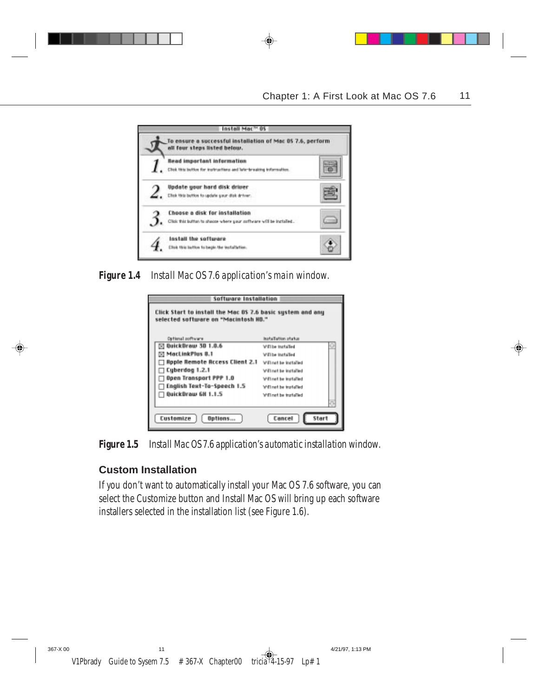

*Figure 1.4 Install Mac OS 7.6 application's main window.*

| Software Installation                                                                              |                        |
|----------------------------------------------------------------------------------------------------|------------------------|
| Click Start to install the Mac OS 7.6 basic system and any<br>selected software on "Macintosh HD." |                        |
| Detional poftware                                                                                  | Installation status    |
| <b>図 QuickDraw 30 1.0.6</b>                                                                        | Will be installed      |
| [3] MacLinkPlus 8.1                                                                                | Will be installed      |
| <b>Rople Remote Rccess Client 2.1</b>                                                              | Will not be installed  |
| Cyberdog 1.2.1                                                                                     | Will not be installed  |
| Open Transport PPP 1.0                                                                             | Will not be installed  |
| English Text-Ta-Speech 1.5                                                                         | Will not be traitabled |
| $\Box$ QuickDraw 68 1.1.5                                                                          | Will not be traited    |
|                                                                                                    | л                      |
| Customize<br>Options                                                                               | Start<br>Cancel        |

*Figure 1.5 Install Mac OS 7.6 application's automatic installation window.*

#### **Custom Installation**

If you don't want to automatically install your Mac OS 7.6 software, you can select the Customize button and Install Mac OS will bring up each software installers selected in the installation list (see Figure 1.6).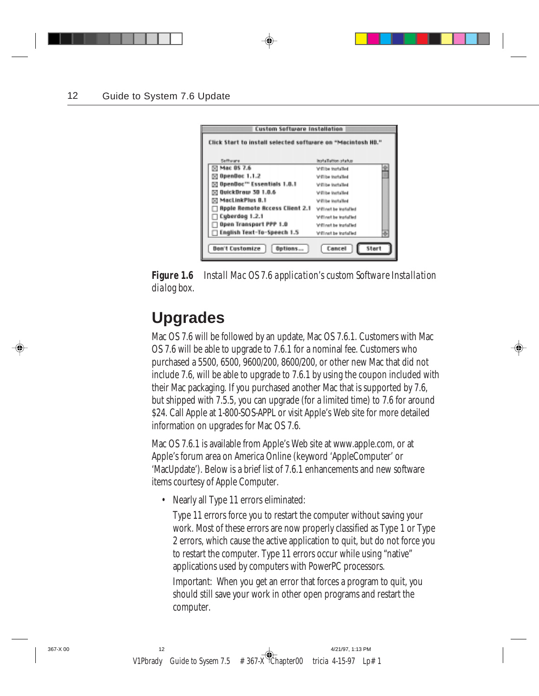| <b>Custom Software Installation</b>                         |                            |
|-------------------------------------------------------------|----------------------------|
| Click Start to install selected software on "Macintosh HD." |                            |
| Seffware                                                    | Installation status        |
| 図 Mac 05 7.6                                                | Will be tratalled          |
| $[3]$ OpenDoc 1.1.2                                         | в<br>Will be installed     |
| [5] OpenDoc" Essentials 1.0.1                               | Will be installed          |
| 53 QuickDraw 30 1.0.6                                       | Will be installed          |
| 図 MacLinkPlus 8.1                                           | Will be installed          |
| <b>Rpple Remote Access Client 2.1</b>                       | Will not be installed      |
| Cyberdog 1.2.1<br>H                                         | Will not be installed      |
| Open Transport PPP 1.0                                      | Will not be traited        |
| English Text-Ta-Speech 1.5                                  | Ξ<br>Will not be installed |
| <b>Don't Customize</b><br>Options                           | Start<br>Cancel            |

*Figure 1.6 Install Mac OS 7.6 application's custom Software Installation dialog box.*

# **Upgrades**

Mac OS 7.6 will be followed by an update, Mac OS 7.6.1. Customers with Mac OS 7.6 will be able to upgrade to 7.6.1 for a nominal fee. Customers who purchased a 5500, 6500, 9600/200, 8600/200, or other new Mac that did not include 7.6, will be able to upgrade to 7.6.1 by using the coupon included with their Mac packaging. If you purchased another Mac that is supported by 7.6, but shipped with 7.5.5, you can upgrade (for a limited time) to 7.6 for around \$24. Call Apple at 1-800-SOS-APPL or visit Apple's Web site for more detailed information on upgrades for Mac OS 7.6.

Mac OS 7.6.1 is available from Apple's Web site at www.apple.com, or at Apple's forum area on America Online (keyword 'AppleComputer' or 'MacUpdate'). Below is a brief list of 7.6.1 enhancements and new software items courtesy of Apple Computer.

• Nearly all Type 11 errors eliminated:

Type 11 errors force you to restart the computer without saving your work. Most of these errors are now properly classified as Type 1 or Type 2 errors, which cause the active application to quit, but do not force you to restart the computer. Type 11 errors occur while using "native" applications used by computers with PowerPC processors.

Important: When you get an error that forces a program to quit, you should still save your work in other open programs and restart the computer.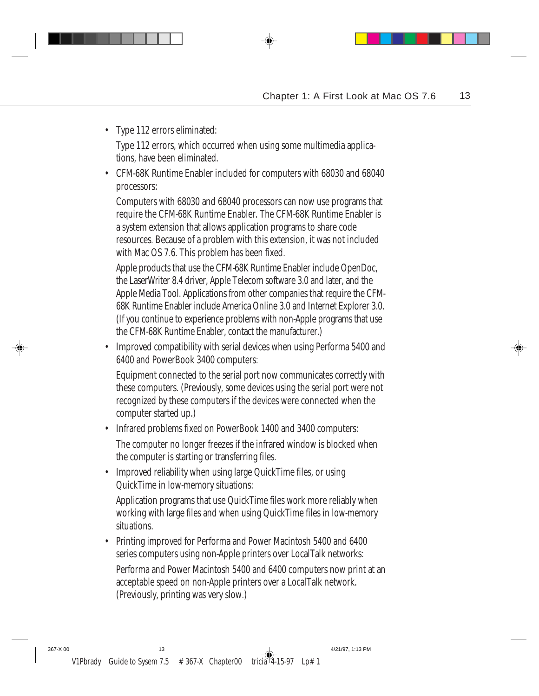• Type 112 errors eliminated:

Type 112 errors, which occurred when using some multimedia applications, have been eliminated.

• CFM-68K Runtime Enabler included for computers with 68030 and 68040 processors:

Computers with 68030 and 68040 processors can now use programs that require the CFM-68K Runtime Enabler. The CFM-68K Runtime Enabler is a system extension that allows application programs to share code resources. Because of a problem with this extension, it was not included with Mac OS 7.6. This problem has been fixed.

Apple products that use the CFM-68K Runtime Enabler include OpenDoc, the LaserWriter 8.4 driver, Apple Telecom software 3.0 and later, and the Apple Media Tool. Applications from other companies that require the CFM-68K Runtime Enabler include America Online 3.0 and Internet Explorer 3.0. (If you continue to experience problems with non-Apple programs that use the CFM-68K Runtime Enabler, contact the manufacturer.)

• Improved compatibility with serial devices when using Performa 5400 and 6400 and PowerBook 3400 computers:

Equipment connected to the serial port now communicates correctly with these computers. (Previously, some devices using the serial port were not recognized by these computers if the devices were connected when the computer started up.)

• Infrared problems fixed on PowerBook 1400 and 3400 computers:

The computer no longer freezes if the infrared window is blocked when the computer is starting or transferring files.

• Improved reliability when using large QuickTime files, or using QuickTime in low-memory situations:

Application programs that use QuickTime files work more reliably when working with large files and when using QuickTime files in low-memory situations.

• Printing improved for Performa and Power Macintosh 5400 and 6400 series computers using non-Apple printers over LocalTalk networks: Performa and Power Macintosh 5400 and 6400 computers now print at an acceptable speed on non-Apple printers over a LocalTalk network. (Previously, printing was very slow.)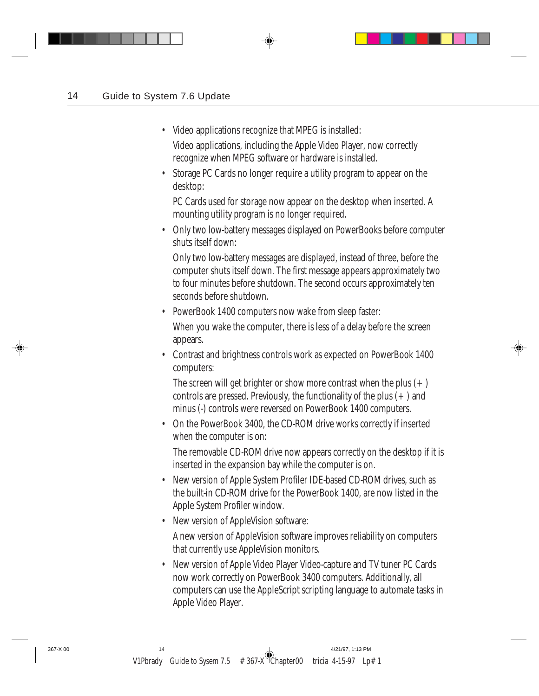- Video applications recognize that MPEG is installed: Video applications, including the Apple Video Player, now correctly recognize when MPEG software or hardware is installed.
- Storage PC Cards no longer require a utility program to appear on the desktop:

PC Cards used for storage now appear on the desktop when inserted. A mounting utility program is no longer required.

• Only two low-battery messages displayed on PowerBooks before computer shuts itself down:

Only two low-battery messages are displayed, instead of three, before the computer shuts itself down. The first message appears approximately two to four minutes before shutdown. The second occurs approximately ten seconds before shutdown.

- PowerBook 1400 computers now wake from sleep faster: When you wake the computer, there is less of a delay before the screen appears.
- Contrast and brightness controls work as expected on PowerBook 1400 computers:

The screen will get brighter or show more contrast when the plus  $(+)$ controls are pressed. Previously, the functionality of the plus  $(+)$  and minus (-) controls were reversed on PowerBook 1400 computers.

• On the PowerBook 3400, the CD-ROM drive works correctly if inserted when the computer is on:

The removable CD-ROM drive now appears correctly on the desktop if it is inserted in the expansion bay while the computer is on.

- New version of Apple System Profiler IDE-based CD-ROM drives, such as the built-in CD-ROM drive for the PowerBook 1400, are now listed in the Apple System Profiler window.
- New version of AppleVision software:

A new version of AppleVision software improves reliability on computers that currently use AppleVision monitors.

• New version of Apple Video Player Video-capture and TV tuner PC Cards now work correctly on PowerBook 3400 computers. Additionally, all computers can use the AppleScript scripting language to automate tasks in Apple Video Player.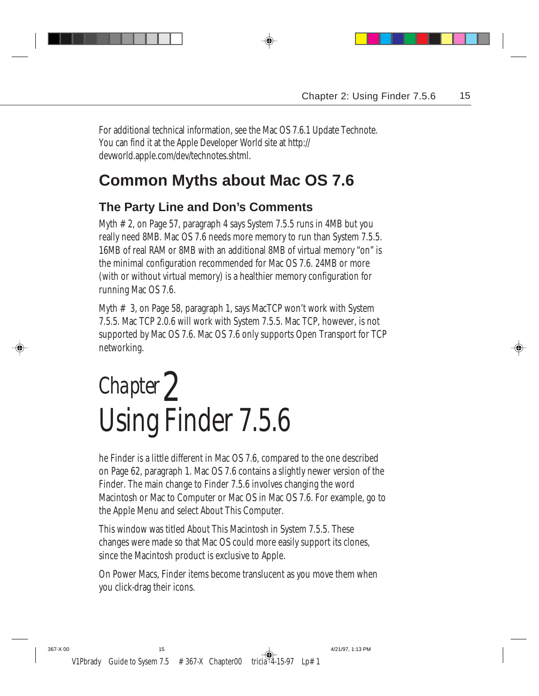For additional technical information, see the Mac OS 7.6.1 Update Technote. You can find it at the Apple Developer World site at http:// devworld.apple.com/dev/technotes.shtml.

# **Common Myths about Mac OS 7.6**

## **The Party Line and Don's Comments**

Myth #2, on Page 57, paragraph 4 says System 7.5.5 runs in 4MB but you really need 8MB. Mac OS 7.6 needs more memory to run than System 7.5.5. 16MB of real RAM or 8MB with an additional 8MB of virtual memory "on" is the minimal configuration recommended for Mac OS 7.6. 24MB or more (with or without virtual memory) is a healthier memory configuration for running Mac OS 7.6.

Myth  $# 3$ , on Page 58, paragraph 1, says MacTCP won't work with System 7.5.5. Mac TCP 2.0.6 will work with System 7.5.5. Mac TCP, however, is not supported by Mac OS 7.6. Mac OS 7.6 only supports Open Transport for TCP networking.

# *Chapter* Using Finder 7.5.6

he Finder is a little different in Mac OS 7.6, compared to the one described on Page 62, paragraph 1. Mac OS 7.6 contains a slightly newer version of the Finder. The main change to Finder 7.5.6 involves changing the word Macintosh or Mac to Computer or Mac OS in Mac OS 7.6. For example, go to the Apple Menu and select About This Computer.

This window was titled About This Macintosh in System 7.5.5. These changes were made so that Mac OS could more easily support its clones, since the Macintosh product is exclusive to Apple.

On Power Macs, Finder items become translucent as you move them when you click-drag their icons.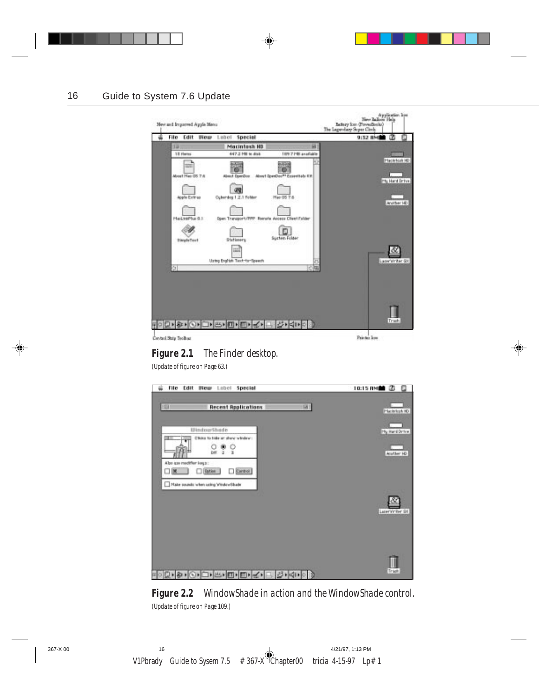| File<br>Edit      | <b>Hew</b> Label<br>Special<br>Macintosh HD   |                                            | 9:32 RM 2      |
|-------------------|-----------------------------------------------|--------------------------------------------|----------------|
| 13<br>12 Harns    | 447.2 Mil to disk                             | 189.71% analytic                           |                |
|                   |                                               |                                            | Plachritch IID |
| m                 |                                               |                                            |                |
| About Mac OS 7.6  | <b>About Dearthier</b>                        | About GoreDoc <sup>ary</sup> Essentials EV | hty Hard Drive |
|                   |                                               |                                            |                |
| Apple Extrao      | Cuberdog 1.2.1 Folder                         | Har 057.6                                  |                |
|                   |                                               |                                            | Another ND     |
| PfacLinkPfue @.I. | Epen Transport/PPP Remain Ancess Chest Falder |                                            |                |
|                   |                                               |                                            |                |
|                   |                                               | Suctor: Folder                             |                |
| <b>BingleText</b> | Stationers                                    |                                            |                |
|                   | mī                                            |                                            |                |
|                   | Using English Text-to-Speech                  |                                            | LaterWriter 68 |
| 5                 |                                               |                                            |                |
|                   |                                               |                                            |                |
|                   |                                               |                                            |                |
|                   |                                               |                                            |                |
|                   |                                               |                                            |                |

# *Figure 2.1 The Finder desktop.*

*(Update of figure on Page 63.)*

| File | Edit<br>Wew Lebel<br>Special                        | 10:15 RM单 ②       |
|------|-----------------------------------------------------|-------------------|
| 1981 | 開設<br><b>Recent Replications</b>                    | Placertosh HD     |
|      | <b>IllindourShade</b>                               | Hy Hard Drive     |
|      | Clicks to hide or show window :<br>$O \nparallel 2$ | Another HD        |
| ж    | Also kan medifier kega:<br>Cantrol<br>C Dation      |                   |
|      | Make sounds when using Windowlikade                 |                   |
|      |                                                     | Later's'riter Sit |
|      |                                                     |                   |
|      |                                                     |                   |
|      |                                                     | Trick             |
|      | Q をつつ ロード・ローローイ・日<br>影中                             |                   |

*Figure 2.2 WindowShade in action and the WindowShade control. (Update of figure on Page 109.)*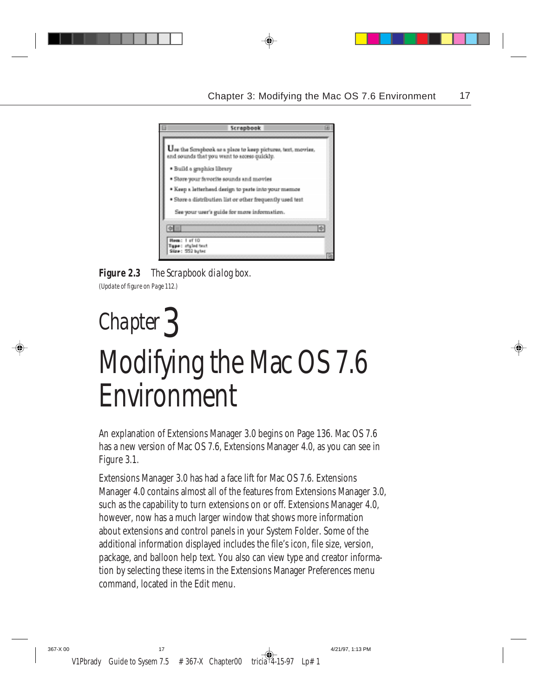

*Figure 2.3 The Scrapbook dialog box. (Update of figure on Page 112.)*

# *Chapter*3 Modifying the Mac OS 7.6 Environment

An explanation of Extensions Manager 3.0 begins on Page 136. Mac OS 7.6 has a new version of Mac OS 7.6, Extensions Manager 4.0, as you can see in Figure 3.1.

Extensions Manager 3.0 has had a face lift for Mac OS 7.6. Extensions Manager 4.0 contains almost all of the features from Extensions Manager 3.0, such as the capability to turn extensions on or off. Extensions Manager 4.0, however, now has a much larger window that shows more information about extensions and control panels in your System Folder. Some of the additional information displayed includes the file's icon, file size, version, package, and balloon help text. You also can view type and creator information by selecting these items in the Extensions Manager Preferences menu command, located in the Edit menu.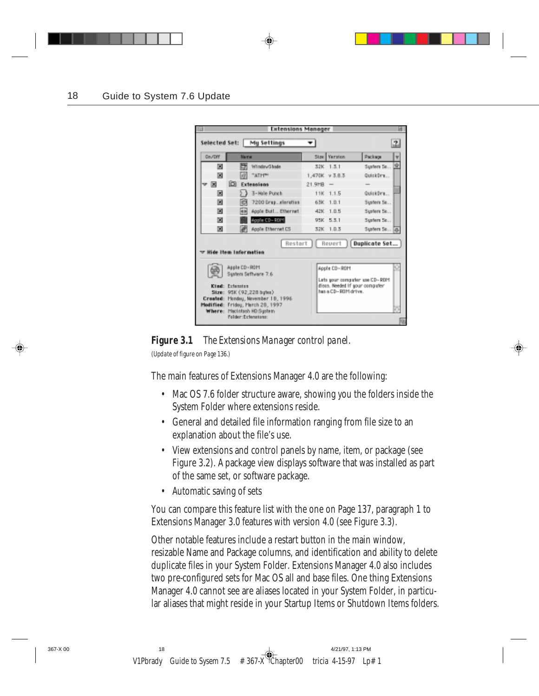

*Figure 3.1 The Extensions Manager control panel.*

*(Update of figure on Page 136.)*

The main features of Extensions Manager 4.0 are the following:

- Mac OS 7.6 folder structure aware, showing you the folders inside the System Folder where extensions reside.
- General and detailed file information ranging from file size to an explanation about the file's use.
- View extensions and control panels by name, item, or package (see Figure 3.2). A package view displays software that was installed as part of the same set, or software package.
- Automatic saving of sets

You can compare this feature list with the one on Page 137, paragraph 1 to Extensions Manager 3.0 features with version 4.0 (see Figure 3.3).

Other notable features include a restart button in the main window, resizable Name and Package columns, and identification and ability to delete duplicate files in your System Folder. Extensions Manager 4.0 also includes two pre-configured sets for Mac OS all and base files. One thing Extensions Manager 4.0 cannot see are aliases located in your System Folder, in particular aliases that might reside in your Startup Items or Shutdown Items folders.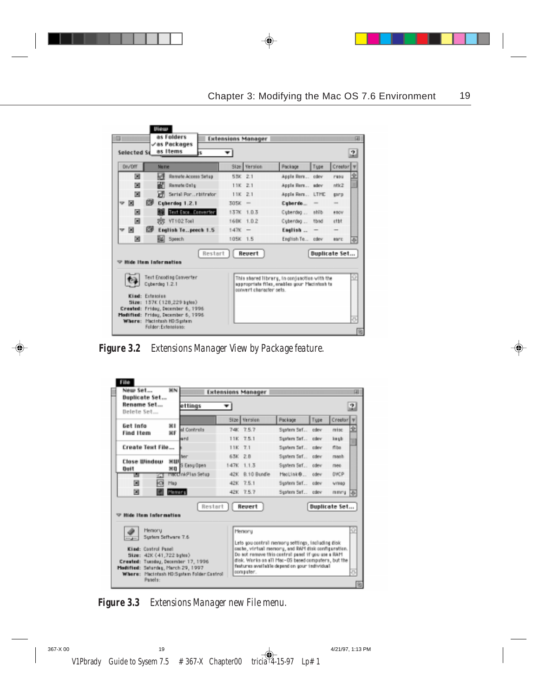|   |         | 700111                       | as Folders                         |          | <b>Extensions Monager</b> |                                                                                               |          |                      | 口  |
|---|---------|------------------------------|------------------------------------|----------|---------------------------|-----------------------------------------------------------------------------------------------|----------|----------------------|----|
|   |         | Selected Se as Items         | <b>Les Packages</b><br>к           |          |                           |                                                                                               |          |                      | э. |
|   | Dry/Dff | <b>Manuel</b>                |                                    |          | Size Version              | Package                                                                                       | Type     | Creator              |    |
|   | 図       | м                            | Remote Access Setup                | 53K 2.1  |                           | Apple Rem odev                                                                                |          | resu                 |    |
|   | м       |                              | Remote Only                        | 11K      | 2.1                       | Apple Rere adev                                                                               |          | n/2                  |    |
|   | м       | ж                            | Sental Por ritttrator              | 11K      | 2.1                       | Apple Rere LTMC                                                                               |          | garp                 |    |
| - | 閪       | 曚                            | Cuberdog 1.2.1                     | 305K     | $=$                       | Cuberdo                                                                                       | $\equiv$ | $\sim$               |    |
|   | 圜       |                              | <b>EEE</b> Text Ence, Converter    |          | 137K 1.0.3                | Cuberdag                                                                                      | shib     | #BOV                 |    |
|   | 圜       |                              | <b>RB VT102 Tool</b>               |          | 168K 1.0.2                | Cuberdag                                                                                      | 1000     | etht                 |    |
|   | ত চা    | œ                            | English Tepeech 1.5                | 147K     |                           | English                                                                                       |          |                      |    |
|   | 図       | 幽                            | Speech                             | 105K 1.5 |                           | English Te., edev                                                                             |          | earc                 | ╃  |
|   |         | <b>Hide Item Information</b> | Restart                            |          | Revert                    |                                                                                               |          | <b>Duplicate Set</b> |    |
|   |         | Cuberdeg 1.2.1               | <b>Text Encoding Canverter</b>     |          | convert character sets.   | This shared library, in conjunction with the<br>appropriate files, enables gour Placintost ta |          |                      | 69 |
|   |         | Kind: Extension              | Size: 137K (128,229 bytes)         |          |                           |                                                                                               |          |                      |    |
|   |         |                              | Crested: Friday, December 6, 1996  |          |                           |                                                                                               |          |                      |    |
|   |         |                              | Modified: Friday, December 6, 1996 |          |                           |                                                                                               |          |                      | n, |
|   |         |                              | Where: Macintash H0:Sgatem         |          |                           |                                                                                               |          |                      |    |

*Figure 3.2 Extensions Manager View by Package feature.*

|                                           | SON.       |                      |         | <b>Extensions Manager</b> |                    |      |                        | 圓 |
|-------------------------------------------|------------|----------------------|---------|---------------------------|--------------------|------|------------------------|---|
| Duplicate Set<br>Rename Set<br>Delete Set |            | ettings              |         |                           |                    |      |                        | 2 |
|                                           |            |                      |         | Size   Version            | <b>Package</b>     | Type | Creetor <sup>1</sup> v |   |
| <b>Get Info</b><br><b>Find Item</b>       | 361<br>SEF | al Controls          |         | 740 7.5.7                 | System Saf odev    |      | reise                  | Ш |
|                                           |            | ard                  |         | 11K 7.5.1                 | System Sef cdev    |      | kest                   |   |
| <b>Create Test File</b>                   |            |                      | THE 7.1 |                           | Sustem Sef., odev  |      | fl ba                  |   |
|                                           |            | tur                  | 63K 2.B |                           | Sustern Suf., cdev |      | mash                   |   |
| <b>Close Window</b><br>Quit               | 寒田<br>米目   | S Eesy Open          | 1476    | 1.1.3                     | System Suf., odew  |      | <b>CEASE</b>           |   |
| 酉<br>œ                                    |            | mactoris/Plus Setup  |         | 42K 8.10 Bundle           | MedLink® odev      |      | DWCP                   |   |
| 図                                         | Mag        |                      |         | 42K 7.5.1                 | Suptern Suf odev   |      | wreas                  |   |
| 図                                         | Memoral    |                      |         | 42K 7.5.7                 | System Saf odev    |      | mmmu                   |   |
| <b>Hide Item Information</b>              |            | Restart              |         | Revert                    |                    |      | <b>Duplicate Set</b>   |   |
| Heniory                                   |            | Surters Sethvare 7.6 |         | Memory                    |                    |      |                        |   |

*Figure 3.3 Extensions Manager new File menu.*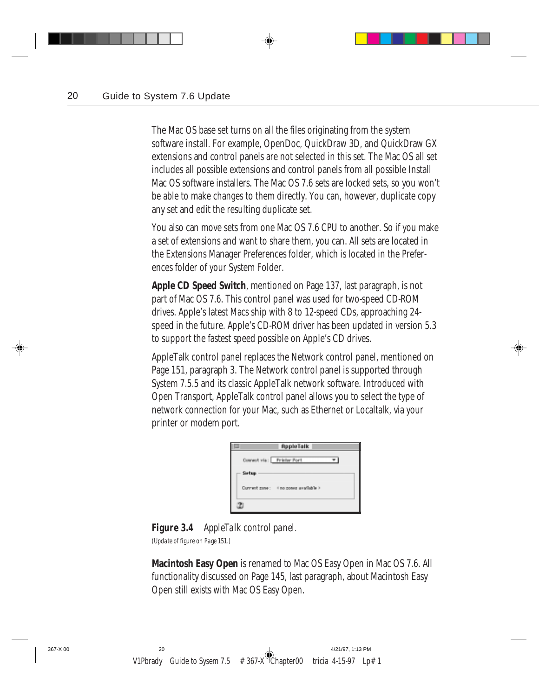The Mac OS base set turns on all the files originating from the system software install. For example, OpenDoc, QuickDraw 3D, and QuickDraw GX extensions and control panels are not selected in this set. The Mac OS all set includes all possible extensions and control panels from all possible Install Mac OS software installers. The Mac OS 7.6 sets are locked sets, so you won't be able to make changes to them directly. You can, however, duplicate copy any set and edit the resulting duplicate set.

You also can move sets from one Mac OS 7.6 CPU to another. So if you make a set of extensions and want to share them, you can. All sets are located in the Extensions Manager Preferences folder, which is located in the Preferences folder of your System Folder.

**Apple CD Speed Switch**, mentioned on Page 137, last paragraph, is not part of Mac OS 7.6. This control panel was used for two-speed CD-ROM drives. Apple's latest Macs ship with 8 to 12-speed CDs, approaching 24 speed in the future. Apple's CD-ROM driver has been updated in version 5.3 to support the fastest speed possible on Apple's CD drives.

AppleTalk control panel replaces the Network control panel, mentioned on Page 151, paragraph 3. The Network control panel is supported through System 7.5.5 and its classic AppleTalk network software. Introduced with Open Transport, AppleTalk control panel allows you to select the type of network connection for your Mac, such as Ethernet or Localtalk, via your printer or modem port.

|       | AppleTalk                            |  |
|-------|--------------------------------------|--|
|       | Connect via: Printer Port            |  |
| Setup |                                      |  |
|       | Currwyl zone: 4 no zonez available > |  |

*Figure 3.4 AppleTalk control panel. (Update of figure on Page 151.)*

**Macintosh Easy Open** is renamed to Mac OS Easy Open in Mac OS 7.6. All functionality discussed on Page 145, last paragraph, about Macintosh Easy Open still exists with Mac OS Easy Open.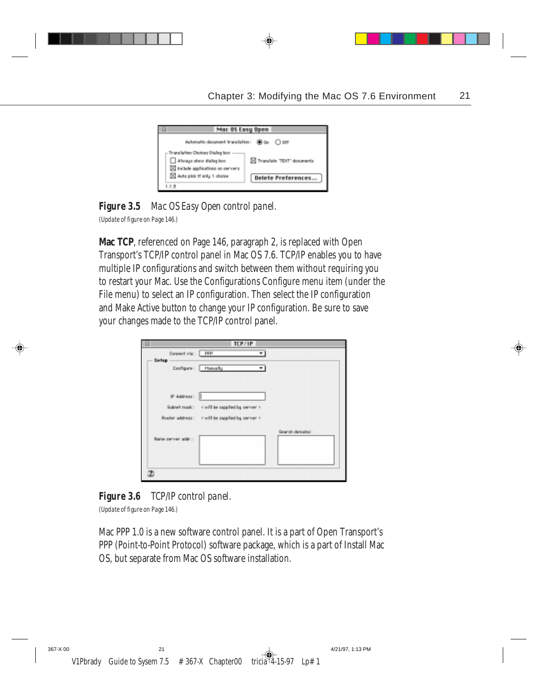

*Figure 3.5 Mac OS Easy Open control panel. (Update of figure on Page 146.)*

**Mac TCP**, referenced on Page 146, paragraph 2, is replaced with Open Transport's TCP/IP control panel in Mac OS 7.6. TCP/IP enables you to have multiple IP configurations and switch between them without requiring you to restart your Mac. Use the Configurations Configure menu item (under the File menu) to select an IP configuration. Then select the IP configuration and Make Active button to change your IP configuration. Be sure to save your changes made to the TCP/IP control panel.

| ш                         | TCP/IP                                         |                  |
|---------------------------|------------------------------------------------|------------------|
| Connect via: FPP<br>Setup | ▾                                              |                  |
|                           | Configure:   Hanua'lly                         |                  |
| IP Address:               | Subnet mask: < will be supplied by server >    |                  |
|                           | Router address: < will be supplied by server > |                  |
| Name swrver addr.:        |                                                | Search dansains: |
|                           |                                                |                  |
| 2                         |                                                |                  |

*Figure 3.6 TCP/IP control panel. (Update of figure on Page 146.)*

Mac PPP 1.0 is a new software control panel. It is a part of Open Transport's PPP (Point-to-Point Protocol) software package, which is a part of Install Mac OS, but separate from Mac OS software installation.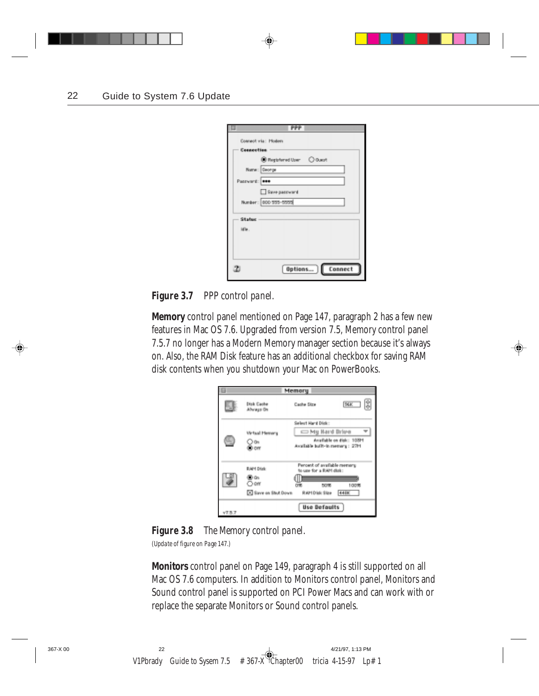|                   | Connect via: Modem        |  |
|-------------------|---------------------------|--|
| <b>Connection</b> |                           |  |
|                   | C Registered User C Ouest |  |
|                   | Name: George              |  |
| Panzywid: 000     |                           |  |
|                   | Save pacovard             |  |
|                   | Number: 000 555-5555      |  |
| Statuc            |                           |  |
| idir.             |                           |  |
|                   |                           |  |
|                   |                           |  |
|                   | Options) [ Connect        |  |

*Figure 3.7 PPP control panel.*

**Memory** control panel mentioned on Page 147, paragraph 2 has a few new features in Mac OS 7.6. Upgraded from version 7.5, Memory control panel 7.5.7 no longer has a Modern Memory manager section because it's always on. Also, the RAM Disk feature has an additional checkbox for saving RAM disk contents when you shutdown your Mac on PowerBooks.

|        |                                                         | Memory                                                                                 |                         |
|--------|---------------------------------------------------------|----------------------------------------------------------------------------------------|-------------------------|
|        | Disk Cache<br>Allwags On                                | Cache Stre                                                                             | $56K$ $8$               |
|        |                                                         | Siebect Hard Dick:<br>- My Hard Brive                                                  |                         |
|        | <b>Virtual Hemory</b>                                   |                                                                                        |                         |
| 띄      | C) On<br>0 afr                                          | Available built-in memory: 27M                                                         | Available on disk: 103H |
| -93    | <b>RAM Dick</b><br>® ûn<br>Oam<br>[X] Save on Stut Down | Percent of available memory<br>to use for a RAM disk:<br>O'R.<br>NOW.<br>RAM Disk Size | 100%<br>4468.           |
| v7.8.7 |                                                         | <b>Use Defaults</b>                                                                    |                         |

*Figure 3.8 The Memory control panel. (Update of figure on Page 147.)*

**Monitors** control panel on Page 149, paragraph 4 is still supported on all Mac OS 7.6 computers. In addition to Monitors control panel, Monitors and Sound control panel is supported on PCI Power Macs and can work with or replace the separate Monitors or Sound control panels.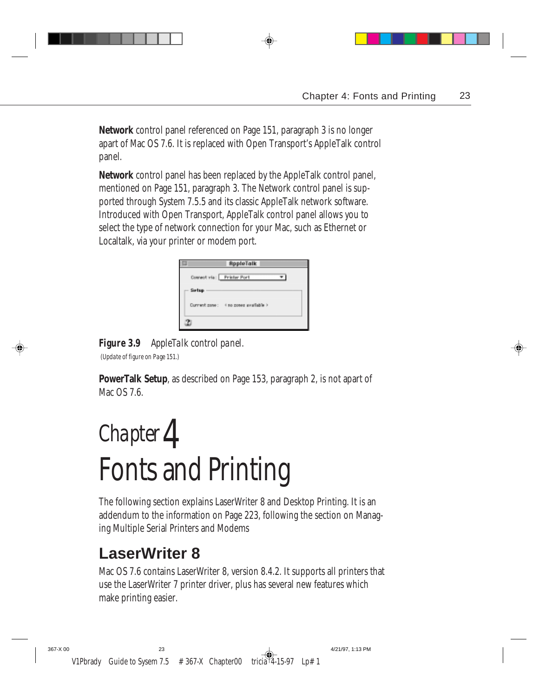**Network** control panel referenced on Page 151, paragraph 3 is no longer apart of Mac OS 7.6. It is replaced with Open Transport's AppleTalk control panel.

**Network** control panel has been replaced by the AppleTalk control panel, mentioned on Page 151, paragraph 3. The Network control panel is supported through System 7.5.5 and its classic AppleTalk network software. Introduced with Open Transport, AppleTalk control panel allows you to select the type of network connection for your Mac, such as Ethernet or Localtalk, via your printer or modem port.

|       | AppleTalk                            |
|-------|--------------------------------------|
|       | Connect via: Printer Port            |
| Setup |                                      |
|       | Currwyl zone: 4 no zonez available > |
|       |                                      |

*Figure 3.9 AppleTalk control panel. (Update of figure on Page 151.)*

**PowerTalk Setup**, as described on Page 153, paragraph 2, is not apart of Mac OS 7.6.

```
Chapter4
Fonts and Printing
```
The following section explains LaserWriter 8 and Desktop Printing. It is an addendum to the information on Page 223, following the section on Managing Multiple Serial Printers and Modems

# **LaserWriter 8**

Mac OS 7.6 contains LaserWriter 8, version 8.4.2. It supports all printers that use the LaserWriter 7 printer driver, plus has several new features which make printing easier.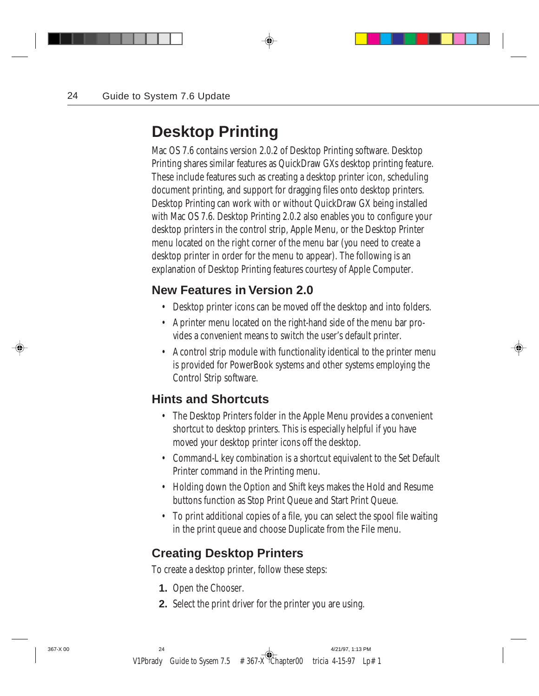# **Desktop Printing**

Mac OS 7.6 contains version 2.0.2 of Desktop Printing software. Desktop Printing shares similar features as QuickDraw GXs desktop printing feature. These include features such as creating a desktop printer icon, scheduling document printing, and support for dragging files onto desktop printers. Desktop Printing can work with or without QuickDraw GX being installed with Mac OS 7.6. Desktop Printing 2.0.2 also enables you to configure your desktop printers in the control strip, Apple Menu, or the Desktop Printer menu located on the right corner of the menu bar (you need to create a desktop printer in order for the menu to appear). The following is an explanation of Desktop Printing features courtesy of Apple Computer.

## **New Features in Version 2.0**

- Desktop printer icons can be moved off the desktop and into folders.
- A printer menu located on the right-hand side of the menu bar provides a convenient means to switch the user's default printer.
- A control strip module with functionality identical to the printer menu is provided for PowerBook systems and other systems employing the Control Strip software.

## **Hints and Shortcuts**

- The Desktop Printers folder in the Apple Menu provides a convenient shortcut to desktop printers. This is especially helpful if you have moved your desktop printer icons off the desktop.
- Command-L key combination is a shortcut equivalent to the Set Default Printer command in the Printing menu.
- Holding down the Option and Shift keys makes the Hold and Resume buttons function as Stop Print Queue and Start Print Queue.
- To print additional copies of a file, you can select the spool file waiting in the print queue and choose Duplicate from the File menu.

## **Creating Desktop Printers**

To create a desktop printer, follow these steps:

- **1.** Open the Chooser.
- **2.** Select the print driver for the printer you are using.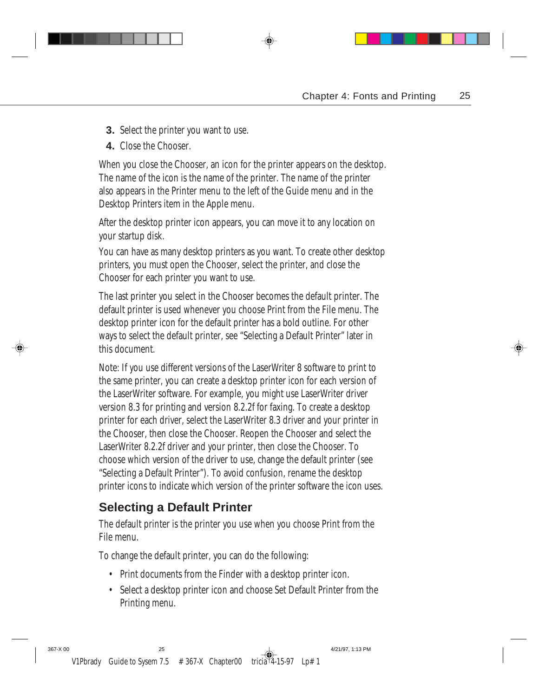- **3.** Select the printer you want to use.
- **4.** Close the Chooser.

When you close the Chooser, an icon for the printer appears on the desktop. The name of the icon is the name of the printer. The name of the printer also appears in the Printer menu to the left of the Guide menu and in the Desktop Printers item in the Apple menu.

After the desktop printer icon appears, you can move it to any location on your startup disk.

You can have as many desktop printers as you want. To create other desktop printers, you must open the Chooser, select the printer, and close the Chooser for each printer you want to use.

The last printer you select in the Chooser becomes the default printer. The default printer is used whenever you choose Print from the File menu. The desktop printer icon for the default printer has a bold outline. For other ways to select the default printer, see "Selecting a Default Printer" later in this document.

Note: If you use different versions of the LaserWriter 8 software to print to the same printer, you can create a desktop printer icon for each version of the LaserWriter software. For example, you might use LaserWriter driver version 8.3 for printing and version 8.2.2f for faxing. To create a desktop printer for each driver, select the LaserWriter 8.3 driver and your printer in the Chooser, then close the Chooser. Reopen the Chooser and select the LaserWriter 8.2.2f driver and your printer, then close the Chooser. To choose which version of the driver to use, change the default printer (see "Selecting a Default Printer"). To avoid confusion, rename the desktop printer icons to indicate which version of the printer software the icon uses.

#### **Selecting a Default Printer**

The default printer is the printer you use when you choose Print from the File menu.

To change the default printer, you can do the following:

- Print documents from the Finder with a desktop printer icon.
- Select a desktop printer icon and choose Set Default Printer from the Printing menu.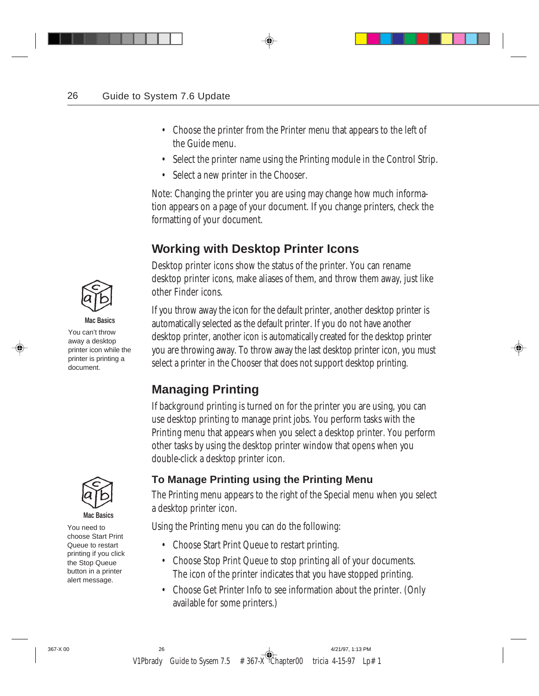- Choose the printer from the Printer menu that appears to the left of the Guide menu.
- Select the printer name using the Printing module in the Control Strip.
- Select a new printer in the Chooser.

Note: Changing the printer you are using may change how much information appears on a page of your document. If you change printers, check the formatting of your document.

## **Working with Desktop Printer Icons**

Desktop printer icons show the status of the printer. You can rename desktop printer icons, make aliases of them, and throw them away, just like other Finder icons.

If you throw away the icon for the default printer, another desktop printer is automatically selected as the default printer. If you do not have another desktop printer, another icon is automatically created for the desktop printer you are throwing away. To throw away the last desktop printer icon, you must select a printer in the Chooser that does not support desktop printing.

#### **Managing Printing**

If background printing is turned on for the printer you are using, you can use desktop printing to manage print jobs. You perform tasks with the Printing menu that appears when you select a desktop printer. You perform other tasks by using the desktop printer window that opens when you double-click a desktop printer icon.

#### **To Manage Printing using the Printing Menu**

The Printing menu appears to the right of the Special menu when you select a desktop printer icon.

Using the Printing menu you can do the following:

- Choose Start Print Queue to restart printing.
- Choose Stop Print Queue to stop printing all of your documents. The icon of the printer indicates that you have stopped printing.
- Choose Get Printer Info to see information about the printer. (Only available for some printers.)



You can't throw away a desktop printer icon while the printer is printing a document.



You need to choose Start Print Queue to restart printing if you click the Stop Queue button in a printer alert message.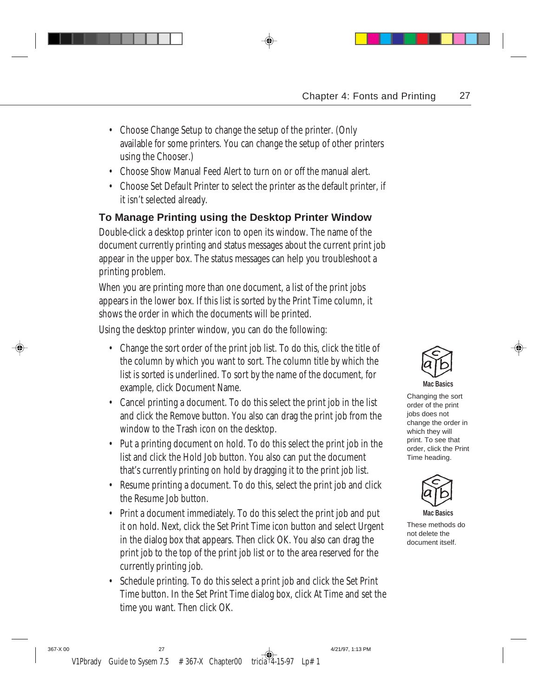- Choose Change Setup to change the setup of the printer. (Only available for some printers. You can change the setup of other printers using the Chooser.)
- Choose Show Manual Feed Alert to turn on or off the manual alert.
- Choose Set Default Printer to select the printer as the default printer, if it isn't selected already.

#### **To Manage Printing using the Desktop Printer Window**

Double-click a desktop printer icon to open its window. The name of the document currently printing and status messages about the current print job appear in the upper box. The status messages can help you troubleshoot a printing problem.

When you are printing more than one document, a list of the print jobs appears in the lower box. If this list is sorted by the Print Time column, it shows the order in which the documents will be printed.

Using the desktop printer window, you can do the following:

- Change the sort order of the print job list. To do this, click the title of the column by which you want to sort. The column title by which the list is sorted is underlined. To sort by the name of the document, for example, click Document Name.
- Cancel printing a document. To do this select the print job in the list and click the Remove button. You also can drag the print job from the window to the Trash icon on the desktop.
- Put a printing document on hold. To do this select the print job in the list and click the Hold Job button. You also can put the document that's currently printing on hold by dragging it to the print job list.
- Resume printing a document. To do this, select the print job and click the Resume Job button.
- Print a document immediately. To do this select the print job and put it on hold. Next, click the Set Print Time icon button and select Urgent in the dialog box that appears. Then click OK. You also can drag the print job to the top of the print job list or to the area reserved for the currently printing job.
- Schedule printing. To do this select a print job and click the Set Print Time button. In the Set Print Time dialog box, click At Time and set the time you want. Then click OK.



Changing the sort order of the print jobs does not change the order in which they will print. To see that order, click the Print Time heading.



These methods do not delete the document itself.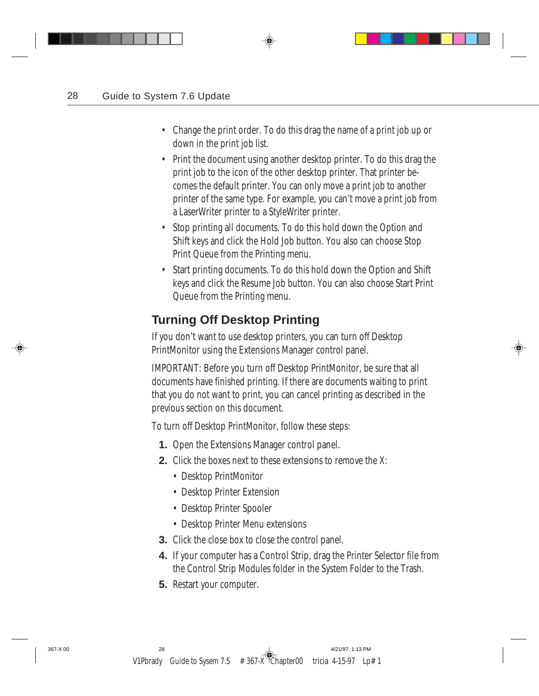- Change the print order. To do this drag the name of a print job up or down in the print job list.
- Print the document using another desktop printer. To do this drag the print job to the icon of the other desktop printer. That printer becomes the default printer. You can only move a print job to another printer of the same type. For example, you can't move a print job from a LaserWriter printer to a StyleWriter printer.
- Stop printing all documents. To do this hold down the Option and Shift keys and click the Hold Job button. You also can choose Stop Print Queue from the Printing menu.
- Start printing documents. To do this hold down the Option and Shift keys and click the Resume Job button. You can also choose Start Print Queue from the Printing menu.

## **Turning Off Desktop Printing**

If you don't want to use desktop printers, you can turn off Desktop PrintMonitor using the Extensions Manager control panel.

IMPORTANT: Before you turn off Desktop PrintMonitor, be sure that all documents have finished printing. If there are documents waiting to print that you do not want to print, you can cancel printing as described in the previous section on this document.

To turn off Desktop PrintMonitor, follow these steps:

- **1.** Open the Extensions Manager control panel.
- **2.** Click the boxes next to these extensions to remove the X:
	- Desktop PrintMonitor
	- Desktop Printer Extension
	- Desktop Printer Spooler
	- Desktop Printer Menu extensions
- **3.** Click the close box to close the control panel.
- **4.** If your computer has a Control Strip, drag the Printer Selector file from the Control Strip Modules folder in the System Folder to the Trash.
- **5.** Restart your computer.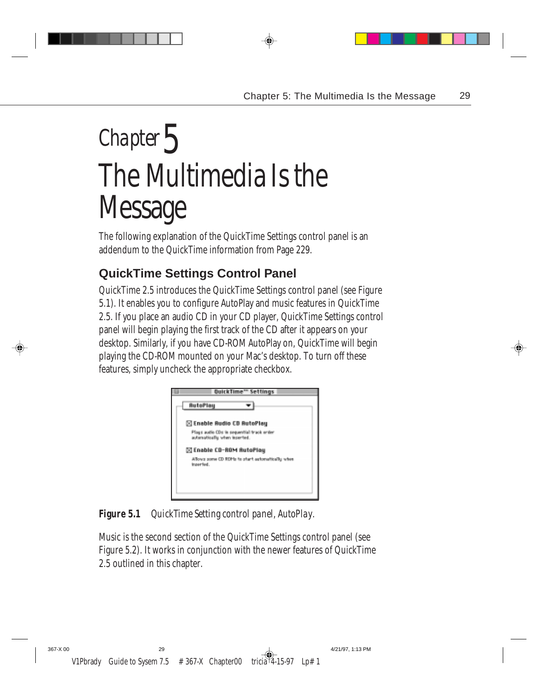# *Chapter*5 The Multimedia Is the **Message**

The following explanation of the QuickTime Settings control panel is an addendum to the QuickTime information from Page 229.

## **QuickTime Settings Control Panel**

QuickTime 2.5 introduces the QuickTime Settings control panel (see Figure 5.1). It enables you to configure AutoPlay and music features in QuickTime 2.5. If you place an audio CD in your CD player, QuickTime Settings control panel will begin playing the first track of the CD after it appears on your desktop. Similarly, if you have CD-ROM AutoPlay on, QuickTime will begin playing the CD-ROM mounted on your Mac's desktop. To turn off these features, simply uncheck the appropriate checkbox.



*Figure 5.1 QuickTime Setting control panel, AutoPlay.*

Music is the second section of the QuickTime Settings control panel (see Figure 5.2). It works in conjunction with the newer features of QuickTime 2.5 outlined in this chapter.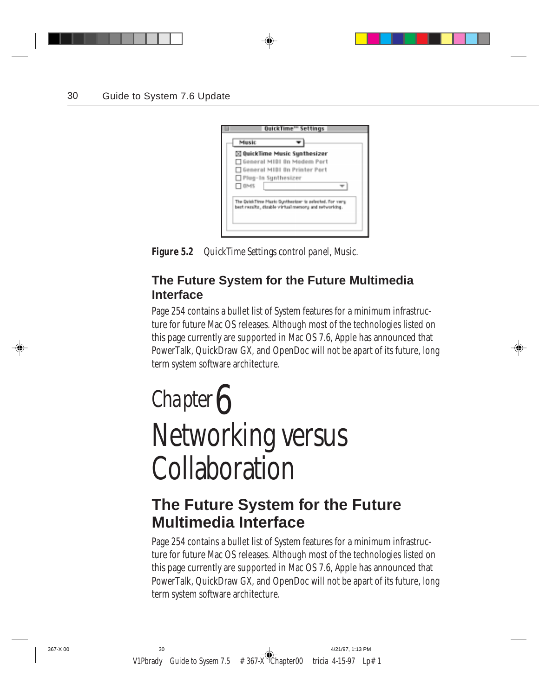|                     | <b>[2] QuickTime Music Synthesizer</b>                                                                         |  |
|---------------------|----------------------------------------------------------------------------------------------------------------|--|
|                     | General MIDI On Modem Port                                                                                     |  |
|                     | General MIDI On Printer Port                                                                                   |  |
| Plug-In Synthesizer |                                                                                                                |  |
| $\Box$ BMS          |                                                                                                                |  |
|                     | The Datek-Time Masto Suntheatory to pelected. For very<br>best results, disable virtual memory and setworking. |  |

*Figure 5.2 QuickTime Settings control panel, Music.*

#### **The Future System for the Future Multimedia Interface**

Page 254 contains a bullet list of System features for a minimum infrastructure for future Mac OS releases. Although most of the technologies listed on this page currently are supported in Mac OS 7.6, Apple has announced that PowerTalk, QuickDraw GX, and OpenDoc will not be apart of its future, long term system software architecture.

# *Chapter*<sup>6</sup> Networking versus Collaboration

# **The Future System for the Future Multimedia Interface**

Page 254 contains a bullet list of System features for a minimum infrastructure for future Mac OS releases. Although most of the technologies listed on this page currently are supported in Mac OS 7.6, Apple has announced that PowerTalk, QuickDraw GX, and OpenDoc will not be apart of its future, long term system software architecture.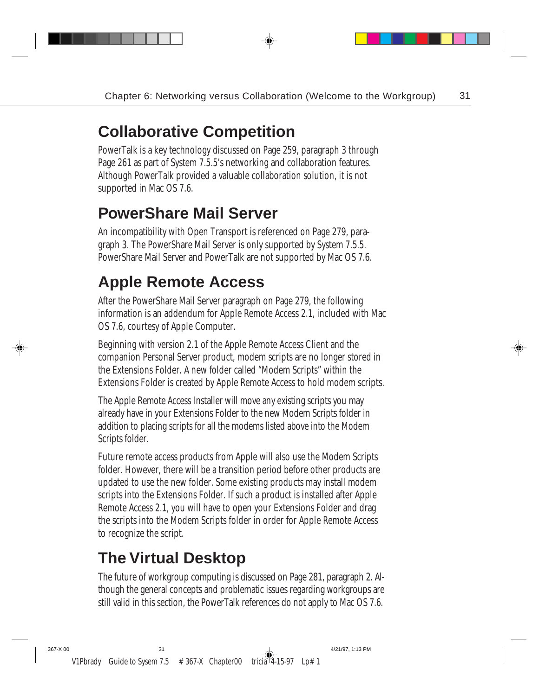31

# **Collaborative Competition**

PowerTalk is a key technology discussed on Page 259, paragraph 3 through Page 261 as part of System 7.5.5's networking and collaboration features. Although PowerTalk provided a valuable collaboration solution, it is not supported in Mac OS 7.6.

# **PowerShare Mail Server**

An incompatibility with Open Transport is referenced on Page 279, paragraph 3. The PowerShare Mail Server is only supported by System 7.5.5. PowerShare Mail Server and PowerTalk are not supported by Mac OS 7.6.

# **Apple Remote Access**

After the PowerShare Mail Server paragraph on Page 279, the following information is an addendum for Apple Remote Access 2.1, included with Mac OS 7.6, courtesy of Apple Computer.

Beginning with version 2.1 of the Apple Remote Access Client and the companion Personal Server product, modem scripts are no longer stored in the Extensions Folder. A new folder called "Modem Scripts" within the Extensions Folder is created by Apple Remote Access to hold modem scripts.

The Apple Remote Access Installer will move any existing scripts you may already have in your Extensions Folder to the new Modem Scripts folder in addition to placing scripts for all the modems listed above into the Modem Scripts folder.

Future remote access products from Apple will also use the Modem Scripts folder. However, there will be a transition period before other products are updated to use the new folder. Some existing products may install modem scripts into the Extensions Folder. If such a product is installed after Apple Remote Access 2.1, you will have to open your Extensions Folder and drag the scripts into the Modem Scripts folder in order for Apple Remote Access to recognize the script.

# **The Virtual Desktop**

The future of workgroup computing is discussed on Page 281, paragraph 2. Although the general concepts and problematic issues regarding workgroups are still valid in this section, the PowerTalk references do not apply to Mac OS 7.6.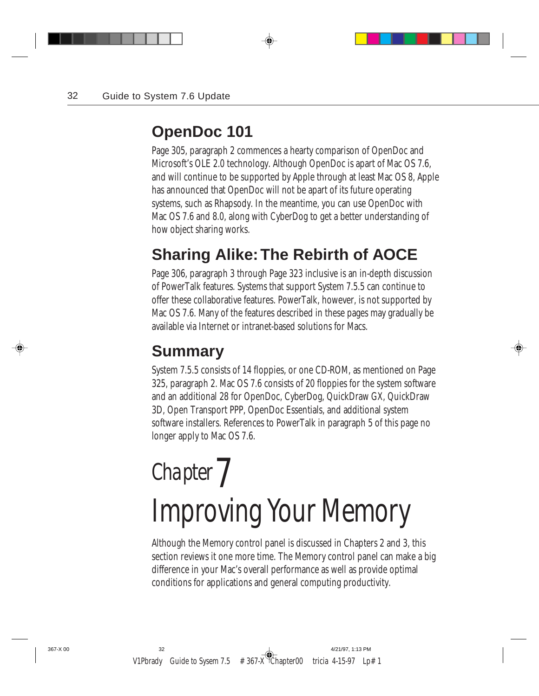# **OpenDoc 101**

Page 305, paragraph 2 commences a hearty comparison of OpenDoc and Microsoft's OLE 2.0 technology. Although OpenDoc is apart of Mac OS 7.6, and will continue to be supported by Apple through at least Mac OS 8, Apple has announced that OpenDoc will not be apart of its future operating systems, such as Rhapsody. In the meantime, you can use OpenDoc with Mac OS 7.6 and 8.0, along with CyberDog to get a better understanding of how object sharing works.

# **Sharing Alike: The Rebirth of AOCE**

Page 306, paragraph 3 through Page 323 inclusive is an in-depth discussion of PowerTalk features. Systems that support System 7.5.5 can continue to offer these collaborative features. PowerTalk, however, is not supported by Mac OS 7.6. Many of the features described in these pages may gradually be available via Internet or intranet-based solutions for Macs.

# **Summary**

System 7.5.5 consists of 14 floppies, or one CD-ROM, as mentioned on Page 325, paragraph 2. Mac OS 7.6 consists of 20 floppies for the system software and an additional 28 for OpenDoc, CyberDog, QuickDraw GX, QuickDraw 3D, Open Transport PPP, OpenDoc Essentials, and additional system software installers. References to PowerTalk in paragraph 5 of this page no longer apply to Mac OS 7.6.

# *Chapter*7 Improving Your Memory

Although the Memory control panel is discussed in Chapters 2 and 3, this section reviews it one more time. The Memory control panel can make a big difference in your Mac's overall performance as well as provide optimal conditions for applications and general computing productivity.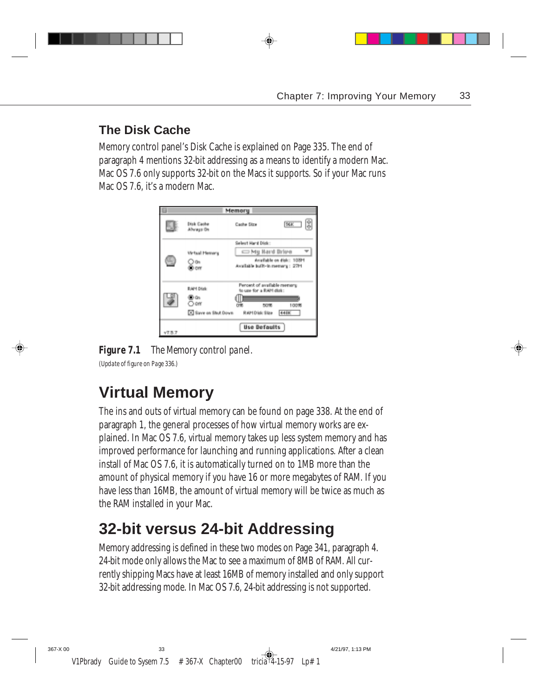## **The Disk Cache**

Memory control panel's Disk Cache is explained on Page 335. The end of paragraph 4 mentions 32-bit addressing as a means to identify a modern Mac. Mac OS 7.6 only supports 32-bit on the Macs it supports. So if your Mac runs Mac OS 7.6, it's a modern Mac.



*Figure 7.1 The Memory control panel. (Update of figure on Page 336.)*

# **Virtual Memory**

The ins and outs of virtual memory can be found on page 338. At the end of paragraph 1, the general processes of how virtual memory works are explained. In Mac OS 7.6, virtual memory takes up less system memory and has improved performance for launching and running applications. After a clean install of Mac OS 7.6, it is automatically turned on to 1MB more than the amount of physical memory if you have 16 or more megabytes of RAM. If you have less than 16MB, the amount of virtual memory will be twice as much as the RAM installed in your Mac.

# **32-bit versus 24-bit Addressing**

Memory addressing is defined in these two modes on Page 341, paragraph 4. 24-bit mode only allows the Mac to see a maximum of 8MB of RAM. All currently shipping Macs have at least 16MB of memory installed and only support 32-bit addressing mode. In Mac OS 7.6, 24-bit addressing is not supported.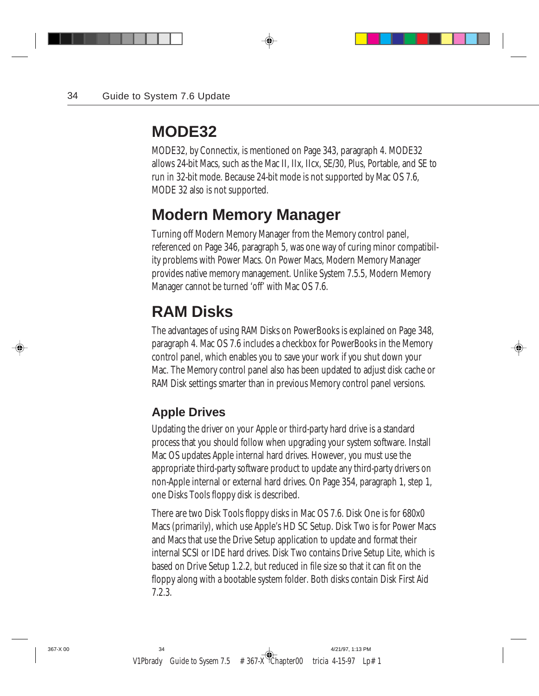# **MODE32**

MODE32, by Connectix, is mentioned on Page 343, paragraph 4. MODE32 allows 24-bit Macs, such as the Mac II, IIx, IIcx, SE/30, Plus, Portable, and SE to run in 32-bit mode. Because 24-bit mode is not supported by Mac OS 7.6, MODE 32 also is not supported.

# **Modern Memory Manager**

Turning off Modern Memory Manager from the Memory control panel, referenced on Page 346, paragraph 5, was one way of curing minor compatibility problems with Power Macs. On Power Macs, Modern Memory Manager provides native memory management. Unlike System 7.5.5, Modern Memory Manager cannot be turned 'off' with Mac OS 7.6.

# **RAM Disks**

The advantages of using RAM Disks on PowerBooks is explained on Page 348, paragraph 4. Mac OS 7.6 includes a checkbox for PowerBooks in the Memory control panel, which enables you to save your work if you shut down your Mac. The Memory control panel also has been updated to adjust disk cache or RAM Disk settings smarter than in previous Memory control panel versions.

## **Apple Drives**

Updating the driver on your Apple or third-party hard drive is a standard process that you should follow when upgrading your system software. Install Mac OS updates Apple internal hard drives. However, you must use the appropriate third-party software product to update any third-party drivers on non-Apple internal or external hard drives. On Page 354, paragraph 1, step 1, one Disks Tools floppy disk is described.

There are two Disk Tools floppy disks in Mac OS 7.6. Disk One is for 680x0 Macs (primarily), which use Apple's HD SC Setup. Disk Two is for Power Macs and Macs that use the Drive Setup application to update and format their internal SCSI or IDE hard drives. Disk Two contains Drive Setup Lite, which is based on Drive Setup 1.2.2, but reduced in file size so that it can fit on the floppy along with a bootable system folder. Both disks contain Disk First Aid 7.2.3.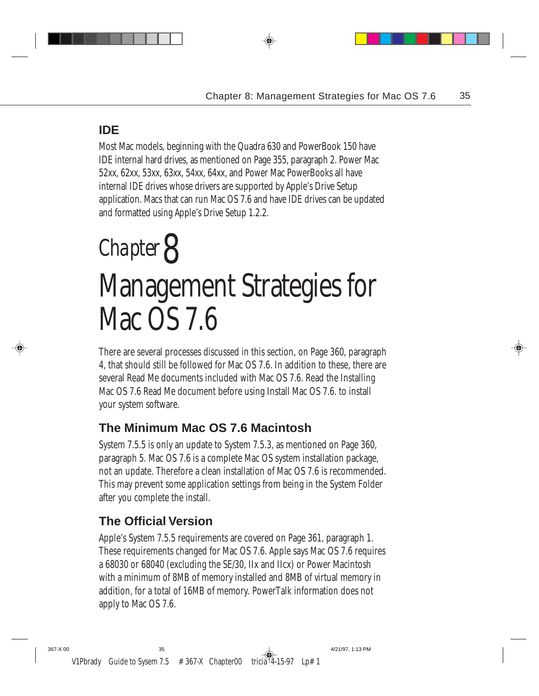## **IDE**

Most Mac models, beginning with the Quadra 630 and PowerBook 150 have IDE internal hard drives, as mentioned on Page 355, paragraph 2. Power Mac 52xx, 62xx, 53xx, 63xx, 54xx, 64xx, and Power Mac PowerBooks all have internal IDE drives whose drivers are supported by Apple's Drive Setup application. Macs that can run Mac OS 7.6 and have IDE drives can be updated and formatted using Apple's Drive Setup 1.2.2.

# *Chapter*8 Management Strategies for Mac OS 7.6

There are several processes discussed in this section, on Page 360, paragraph 4, that should still be followed for Mac OS 7.6. In addition to these, there are several Read Me documents included with Mac OS 7.6. Read the Installing Mac OS 7.6 Read Me document before using Install Mac OS 7.6. to install your system software.

#### **The Minimum Mac OS 7.6 Macintosh**

System 7.5.5 is only an update to System 7.5.3, as mentioned on Page 360, paragraph 5. Mac OS 7.6 is a complete Mac OS system installation package, not an update. Therefore a clean installation of Mac OS 7.6 is recommended. This may prevent some application settings from being in the System Folder after you complete the install.

## **The Official Version**

Apple's System 7.5.5 requirements are covered on Page 361, paragraph 1. These requirements changed for Mac OS 7.6. Apple says Mac OS 7.6 requires a 68030 or 68040 (excluding the SE/30, IIx and IIcx) or Power Macintosh with a minimum of 8MB of memory installed and 8MB of virtual memory in addition, for a total of 16MB of memory. PowerTalk information does not apply to Mac OS 7.6.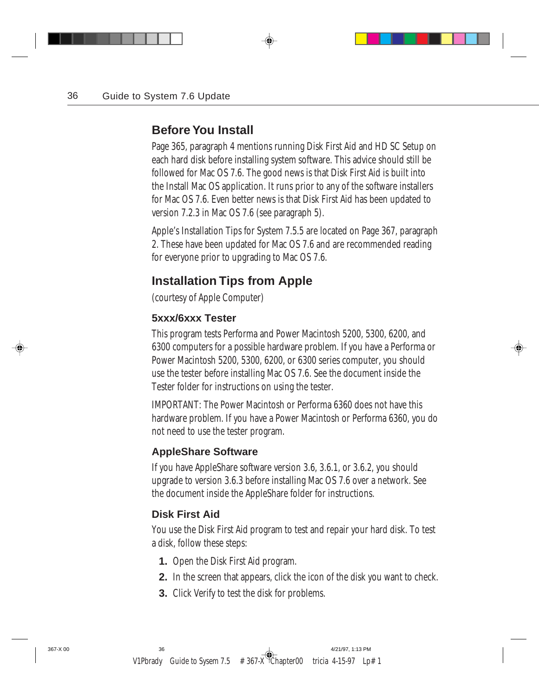#### **Before You Install**

Page 365, paragraph 4 mentions running Disk First Aid and HD SC Setup on each hard disk before installing system software. This advice should still be followed for Mac OS 7.6. The good news is that Disk First Aid is built into the Install Mac OS application. It runs prior to any of the software installers for Mac OS 7.6. Even better news is that Disk First Aid has been updated to version 7.2.3 in Mac OS 7.6 (see paragraph 5).

Apple's Installation Tips for System 7.5.5 are located on Page 367, paragraph 2. These have been updated for Mac OS 7.6 and are recommended reading for everyone prior to upgrading to Mac OS 7.6.

#### **Installation Tips from Apple**

(courtesy of Apple Computer)

#### **5xxx/6xxx Tester**

This program tests Performa and Power Macintosh 5200, 5300, 6200, and 6300 computers for a possible hardware problem. If you have a Performa or Power Macintosh 5200, 5300, 6200, or 6300 series computer, you should use the tester before installing Mac OS 7.6. See the document inside the Tester folder for instructions on using the tester.

IMPORTANT: The Power Macintosh or Performa 6360 does not have this hardware problem. If you have a Power Macintosh or Performa 6360, you do not need to use the tester program.

#### **AppleShare Software**

If you have AppleShare software version 3.6, 3.6.1, or 3.6.2, you should upgrade to version 3.6.3 before installing Mac OS 7.6 over a network. See the document inside the AppleShare folder for instructions.

#### **Disk First Aid**

You use the Disk First Aid program to test and repair your hard disk. To test a disk, follow these steps:

- **1.** Open the Disk First Aid program.
- **2.** In the screen that appears, click the icon of the disk you want to check.
- **3.** Click Verify to test the disk for problems.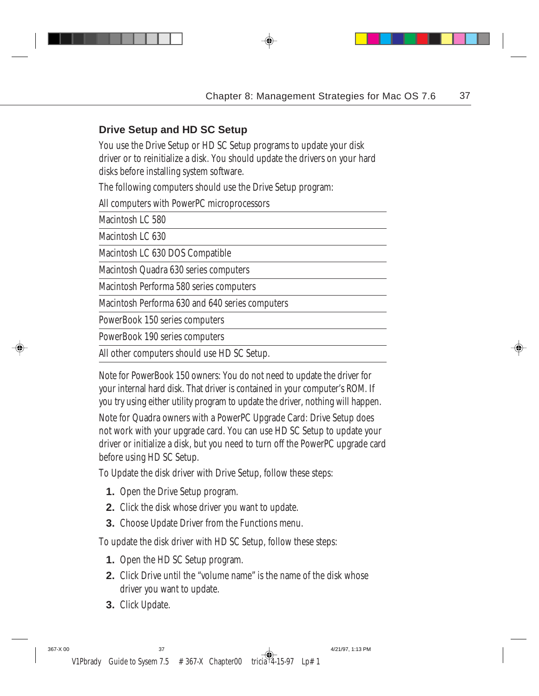#### **Drive Setup and HD SC Setup**

You use the Drive Setup or HD SC Setup programs to update your disk driver or to reinitialize a disk. You should update the drivers on your hard disks before installing system software.

The following computers should use the Drive Setup program:

All computers with PowerPC microprocessors

Macintosh LC 580

Macintosh LC 630

Macintosh LC 630 DOS Compatible

Macintosh Quadra 630 series computers

Macintosh Performa 580 series computers

Macintosh Performa 630 and 640 series computers

PowerBook 150 series computers

PowerBook 190 series computers

All other computers should use HD SC Setup.

Note for PowerBook 150 owners: You do not need to update the driver for your internal hard disk. That driver is contained in your computer's ROM. If you try using either utility program to update the driver, nothing will happen.

Note for Quadra owners with a PowerPC Upgrade Card: Drive Setup does not work with your upgrade card. You can use HD SC Setup to update your driver or initialize a disk, but you need to turn off the PowerPC upgrade card before using HD SC Setup.

To Update the disk driver with Drive Setup, follow these steps:

- **1.** Open the Drive Setup program.
- **2.** Click the disk whose driver you want to update.
- **3.** Choose Update Driver from the Functions menu.

To update the disk driver with HD SC Setup, follow these steps:

- **1.** Open the HD SC Setup program.
- **2.** Click Drive until the "volume name" is the name of the disk whose driver you want to update.
- **3.** Click Update.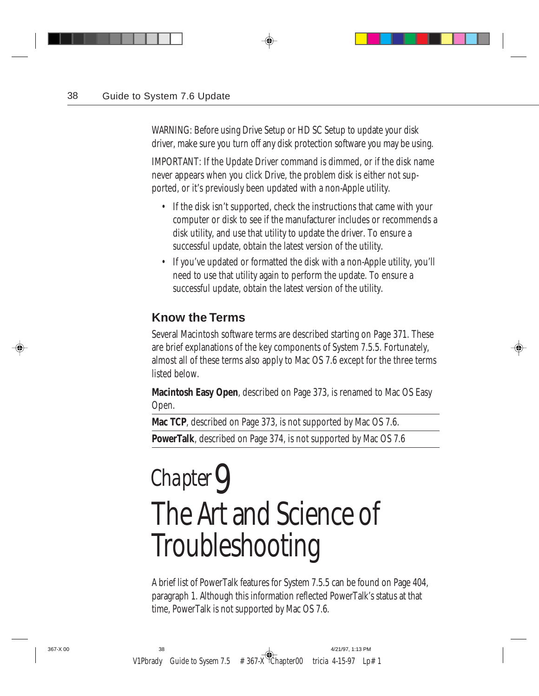WARNING: Before using Drive Setup or HD SC Setup to update your disk driver, make sure you turn off any disk protection software you may be using.

IMPORTANT: If the Update Driver command is dimmed, or if the disk name never appears when you click Drive, the problem disk is either not supported, or it's previously been updated with a non-Apple utility.

- If the disk isn't supported, check the instructions that came with your computer or disk to see if the manufacturer includes or recommends a disk utility, and use that utility to update the driver. To ensure a successful update, obtain the latest version of the utility.
- If you've updated or formatted the disk with a non-Apple utility, you'll need to use that utility again to perform the update. To ensure a successful update, obtain the latest version of the utility.

#### **Know the Terms**

Several Macintosh software terms are described starting on Page 371. These are brief explanations of the key components of System 7.5.5. Fortunately, almost all of these terms also apply to Mac OS 7.6 except for the three terms listed below.

**Macintosh Easy Open**, described on Page 373, is renamed to Mac OS Easy Open.

**Mac TCP**, described on Page 373, is not supported by Mac OS 7.6.

**PowerTalk**, described on Page 374, is not supported by Mac OS 7.6



# The Art and Science of **Troubleshooting**

A brief list of PowerTalk features for System 7.5.5 can be found on Page 404, paragraph 1. Although this information reflected PowerTalk's status at that time, PowerTalk is not supported by Mac OS 7.6.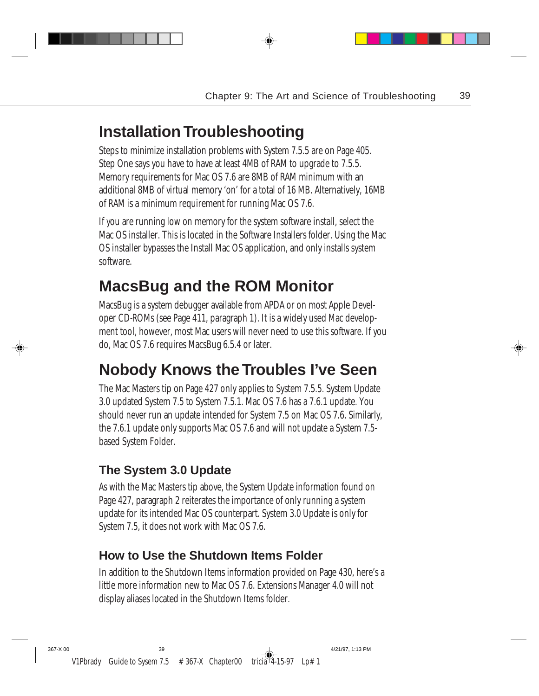# **Installation Troubleshooting**

Steps to minimize installation problems with System 7.5.5 are on Page 405. Step One says you have to have at least 4MB of RAM to upgrade to 7.5.5. Memory requirements for Mac OS 7.6 are 8MB of RAM minimum with an additional 8MB of virtual memory 'on' for a total of 16 MB. Alternatively, 16MB of RAM is a minimum requirement for running Mac OS 7.6.

If you are running low on memory for the system software install, select the Mac OS installer. This is located in the Software Installers folder. Using the Mac OS installer bypasses the Install Mac OS application, and only installs system software.

# **MacsBug and the ROM Monitor**

MacsBug is a system debugger available from APDA or on most Apple Developer CD-ROMs (see Page 411, paragraph 1). It is a widely used Mac development tool, however, most Mac users will never need to use this software. If you do, Mac OS 7.6 requires MacsBug 6.5.4 or later.

# **Nobody Knows the Troubles I've Seen**

The Mac Masters tip on Page 427 only applies to System 7.5.5. System Update 3.0 updated System 7.5 to System 7.5.1. Mac OS 7.6 has a 7.6.1 update. You should never run an update intended for System 7.5 on Mac OS 7.6. Similarly, the 7.6.1 update only supports Mac OS 7.6 and will not update a System 7.5 based System Folder.

## **The System 3.0 Update**

As with the Mac Masters tip above, the System Update information found on Page 427, paragraph 2 reiterates the importance of only running a system update for its intended Mac OS counterpart. System 3.0 Update is only for System 7.5, it does not work with Mac OS 7.6.

#### **How to Use the Shutdown Items Folder**

In addition to the Shutdown Items information provided on Page 430, here's a little more information new to Mac OS 7.6. Extensions Manager 4.0 will not display aliases located in the Shutdown Items folder.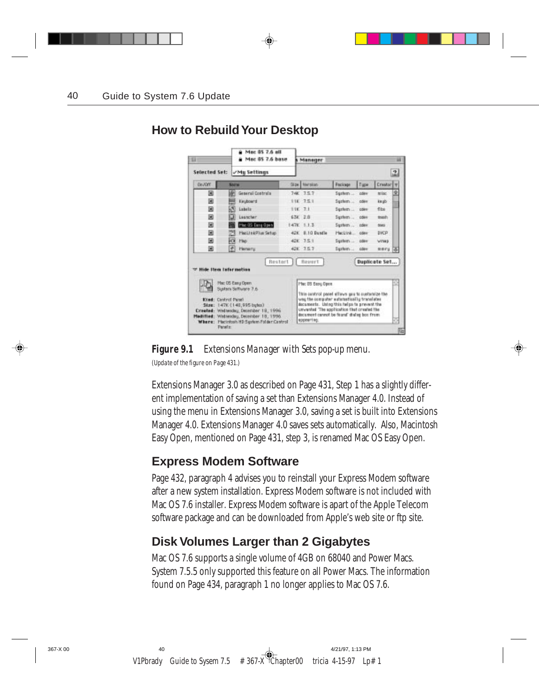

#### **How to Rebuild Your Desktop**

*Figure 9.1 Extensions Manager with Sets pop-up menu. (Update of the figure on Page 431.)*

Extensions Manager 3.0 as described on Page 431, Step 1 has a slightly different implementation of saving a set than Extensions Manager 4.0. Instead of using the menu in Extensions Manager 3.0, saving a set is built into Extensions Manager 4.0. Extensions Manager 4.0 saves sets automatically. Also, Macintosh Easy Open, mentioned on Page 431, step 3, is renamed Mac OS Easy Open.

#### **Express Modem Software**

Page 432, paragraph 4 advises you to reinstall your Express Modem software after a new system installation. Express Modem software is not included with Mac OS 7.6 installer. Express Modem software is apart of the Apple Telecom software package and can be downloaded from Apple's web site or ftp site.

#### **Disk Volumes Larger than 2 Gigabytes**

Mac OS 7.6 supports a single volume of 4GB on 68040 and Power Macs. System 7.5.5 only supported this feature on all Power Macs. The information found on Page 434, paragraph 1 no longer applies to Mac OS 7.6.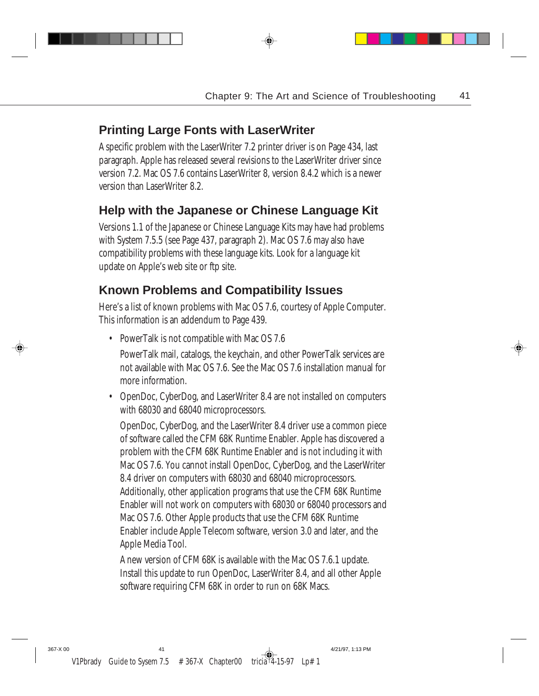#### **Printing Large Fonts with LaserWriter**

A specific problem with the LaserWriter 7.2 printer driver is on Page 434, last paragraph. Apple has released several revisions to the LaserWriter driver since version 7.2. Mac OS 7.6 contains LaserWriter 8, version 8.4.2 which is a newer version than LaserWriter 8.2.

#### **Help with the Japanese or Chinese Language Kit**

Versions 1.1 of the Japanese or Chinese Language Kits may have had problems with System 7.5.5 (see Page 437, paragraph 2). Mac OS 7.6 may also have compatibility problems with these language kits. Look for a language kit update on Apple's web site or ftp site.

#### **Known Problems and Compatibility Issues**

Here's a list of known problems with Mac OS 7.6, courtesy of Apple Computer. This information is an addendum to Page 439.

- PowerTalk is not compatible with Mac OS 7.6 PowerTalk mail, catalogs, the keychain, and other PowerTalk services are not available with Mac OS 7.6. See the Mac OS 7.6 installation manual for more information.
- OpenDoc, CyberDog, and LaserWriter 8.4 are not installed on computers with 68030 and 68040 microprocessors.

OpenDoc, CyberDog, and the LaserWriter 8.4 driver use a common piece of software called the CFM 68K Runtime Enabler. Apple has discovered a problem with the CFM 68K Runtime Enabler and is not including it with Mac OS 7.6. You cannot install OpenDoc, CyberDog, and the LaserWriter 8.4 driver on computers with 68030 and 68040 microprocessors. Additionally, other application programs that use the CFM 68K Runtime Enabler will not work on computers with 68030 or 68040 processors and Mac OS 7.6. Other Apple products that use the CFM 68K Runtime Enabler include Apple Telecom software, version 3.0 and later, and the Apple Media Tool.

A new version of CFM 68K is available with the Mac OS 7.6.1 update. Install this update to run OpenDoc, LaserWriter 8.4, and all other Apple software requiring CFM 68K in order to run on 68K Macs.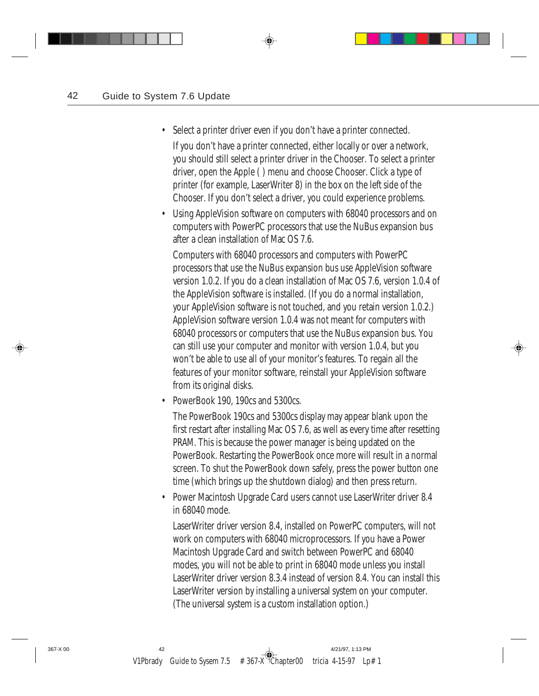- Select a printer driver even if you don't have a printer connected. If you don't have a printer connected, either locally or over a network, you should still select a printer driver in the Chooser. To select a printer driver, open the Apple ( ) menu and choose Chooser. Click a type of printer (for example, LaserWriter 8) in the box on the left side of the Chooser. If you don't select a driver, you could experience problems.
- Using AppleVision software on computers with 68040 processors and on computers with PowerPC processors that use the NuBus expansion bus after a clean installation of Mac OS 7.6.

Computers with 68040 processors and computers with PowerPC processors that use the NuBus expansion bus use AppleVision software version 1.0.2. If you do a clean installation of Mac OS 7.6, version 1.0.4 of the AppleVision software is installed. (If you do a normal installation, your AppleVision software is not touched, and you retain version 1.0.2.) AppleVision software version 1.0.4 was not meant for computers with 68040 processors or computers that use the NuBus expansion bus. You can still use your computer and monitor with version 1.0.4, but you won't be able to use all of your monitor's features. To regain all the features of your monitor software, reinstall your AppleVision software from its original disks.

• PowerBook 190, 190cs and 5300cs.

The PowerBook 190cs and 5300cs display may appear blank upon the first restart after installing Mac OS 7.6, as well as every time after resetting PRAM. This is because the power manager is being updated on the PowerBook. Restarting the PowerBook once more will result in a normal screen. To shut the PowerBook down safely, press the power button one time (which brings up the shutdown dialog) and then press return.

• Power Macintosh Upgrade Card users cannot use LaserWriter driver 8.4 in 68040 mode.

LaserWriter driver version 8.4, installed on PowerPC computers, will not work on computers with 68040 microprocessors. If you have a Power Macintosh Upgrade Card and switch between PowerPC and 68040 modes, you will not be able to print in 68040 mode unless you install LaserWriter driver version 8.3.4 instead of version 8.4. You can install this LaserWriter version by installing a universal system on your computer. (The universal system is a custom installation option.)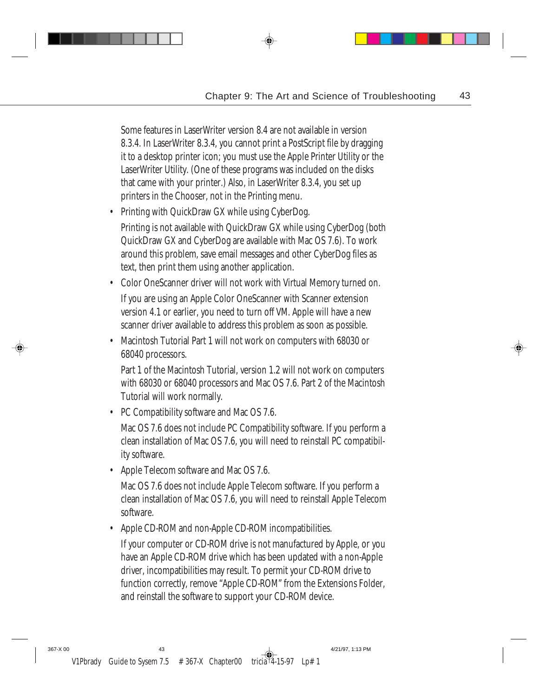Some features in LaserWriter version 8.4 are not available in version 8.3.4. In LaserWriter 8.3.4, you cannot print a PostScript file by dragging it to a desktop printer icon; you must use the Apple Printer Utility or the LaserWriter Utility. (One of these programs was included on the disks that came with your printer.) Also, in LaserWriter 8.3.4, you set up printers in the Chooser, not in the Printing menu.

• Printing with QuickDraw GX while using CyberDog.

Printing is not available with QuickDraw GX while using CyberDog (both QuickDraw GX and CyberDog are available with Mac OS 7.6). To work around this problem, save email messages and other CyberDog files as text, then print them using another application.

- Color OneScanner driver will not work with Virtual Memory turned on. If you are using an Apple Color OneScanner with Scanner extension version 4.1 or earlier, you need to turn off VM. Apple will have a new scanner driver available to address this problem as soon as possible.
- Macintosh Tutorial Part 1 will not work on computers with 68030 or 68040 processors.

Part 1 of the Macintosh Tutorial, version 1.2 will not work on computers with 68030 or 68040 processors and Mac OS 7.6. Part 2 of the Macintosh Tutorial will work normally.

• PC Compatibility software and Mac OS 7.6.

Mac OS 7.6 does not include PC Compatibility software. If you perform a clean installation of Mac OS 7.6, you will need to reinstall PC compatibility software.

• Apple Telecom software and Mac OS 7.6.

Mac OS 7.6 does not include Apple Telecom software. If you perform a clean installation of Mac OS 7.6, you will need to reinstall Apple Telecom software.

• Apple CD-ROM and non-Apple CD-ROM incompatibilities.

If your computer or CD-ROM drive is not manufactured by Apple, or you have an Apple CD-ROM drive which has been updated with a non-Apple driver, incompatibilities may result. To permit your CD-ROM drive to function correctly, remove "Apple CD-ROM" from the Extensions Folder, and reinstall the software to support your CD-ROM device.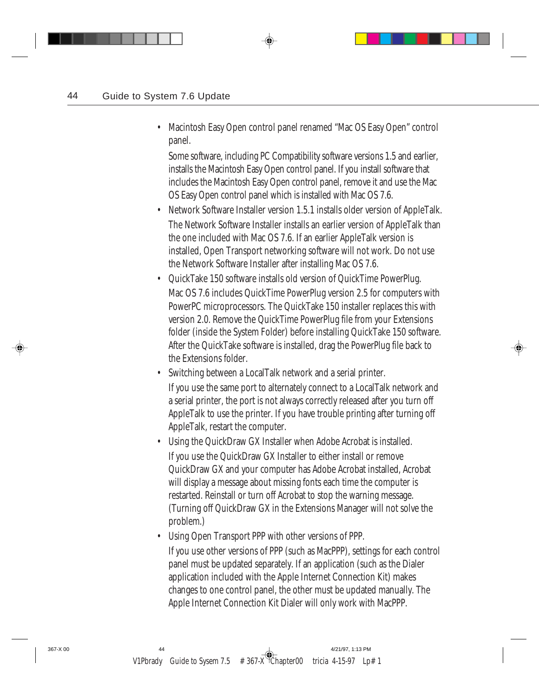• Macintosh Easy Open control panel renamed "Mac OS Easy Open" control panel.

Some software, including PC Compatibility software versions 1.5 and earlier, installs the Macintosh Easy Open control panel. If you install software that includes the Macintosh Easy Open control panel, remove it and use the Mac OS Easy Open control panel which is installed with Mac OS 7.6.

- Network Software Installer version 1.5.1 installs older version of AppleTalk. The Network Software Installer installs an earlier version of AppleTalk than the one included with Mac OS 7.6. If an earlier AppleTalk version is installed, Open Transport networking software will not work. Do not use the Network Software Installer after installing Mac OS 7.6.
- QuickTake 150 software installs old version of QuickTime PowerPlug. Mac OS 7.6 includes QuickTime PowerPlug version 2.5 for computers with PowerPC microprocessors. The QuickTake 150 installer replaces this with version 2.0. Remove the QuickTime PowerPlug file from your Extensions folder (inside the System Folder) before installing QuickTake 150 software. After the QuickTake software is installed, drag the PowerPlug file back to the Extensions folder.
- Switching between a LocalTalk network and a serial printer. If you use the same port to alternately connect to a LocalTalk network and a serial printer, the port is not always correctly released after you turn off AppleTalk to use the printer. If you have trouble printing after turning off AppleTalk, restart the computer.
- Using the QuickDraw GX Installer when Adobe Acrobat is installed. If you use the QuickDraw GX Installer to either install or remove QuickDraw GX and your computer has Adobe Acrobat installed, Acrobat will display a message about missing fonts each time the computer is restarted. Reinstall or turn off Acrobat to stop the warning message. (Turning off QuickDraw GX in the Extensions Manager will not solve the problem.)
- Using Open Transport PPP with other versions of PPP. If you use other versions of PPP (such as MacPPP), settings for each control panel must be updated separately. If an application (such as the Dialer application included with the Apple Internet Connection Kit) makes changes to one control panel, the other must be updated manually. The Apple Internet Connection Kit Dialer will only work with MacPPP.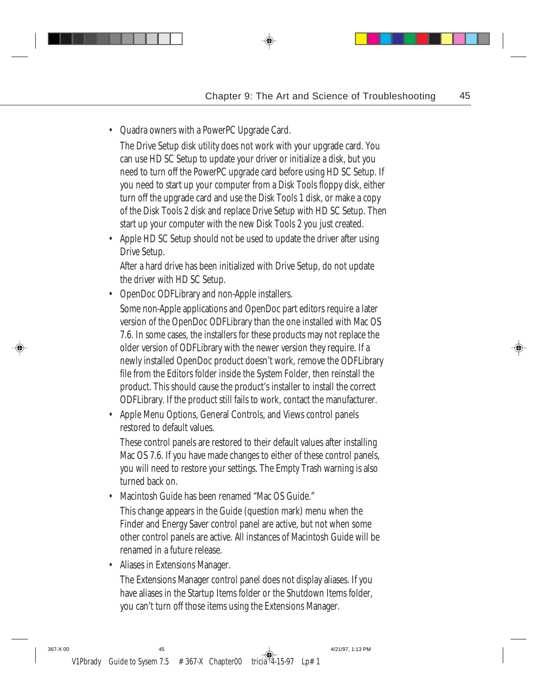• Quadra owners with a PowerPC Upgrade Card.

The Drive Setup disk utility does not work with your upgrade card. You can use HD SC Setup to update your driver or initialize a disk, but you need to turn off the PowerPC upgrade card before using HD SC Setup. If you need to start up your computer from a Disk Tools floppy disk, either turn off the upgrade card and use the Disk Tools 1 disk, or make a copy of the Disk Tools 2 disk and replace Drive Setup with HD SC Setup. Then start up your computer with the new Disk Tools 2 you just created.

• Apple HD SC Setup should not be used to update the driver after using Drive Setup.

After a hard drive has been initialized with Drive Setup, do not update the driver with HD SC Setup.

• OpenDoc ODFLibrary and non-Apple installers.

Some non-Apple applications and OpenDoc part editors require a later version of the OpenDoc ODFLibrary than the one installed with Mac OS 7.6. In some cases, the installers for these products may not replace the older version of ODFLibrary with the newer version they require. If a newly installed OpenDoc product doesn't work, remove the ODFLibrary file from the Editors folder inside the System Folder, then reinstall the product. This should cause the product's installer to install the correct ODFLibrary. If the product still fails to work, contact the manufacturer.

• Apple Menu Options, General Controls, and Views control panels restored to default values.

These control panels are restored to their default values after installing Mac OS 7.6. If you have made changes to either of these control panels, you will need to restore your settings. The Empty Trash warning is also turned back on.

- Macintosh Guide has been renamed "Mac OS Guide." This change appears in the Guide (question mark) menu when the Finder and Energy Saver control panel are active, but not when some other control panels are active. All instances of Macintosh Guide will be renamed in a future release.
- Aliases in Extensions Manager.

The Extensions Manager control panel does not display aliases. If you have aliases in the Startup Items folder or the Shutdown Items folder, you can't turn off those items using the Extensions Manager.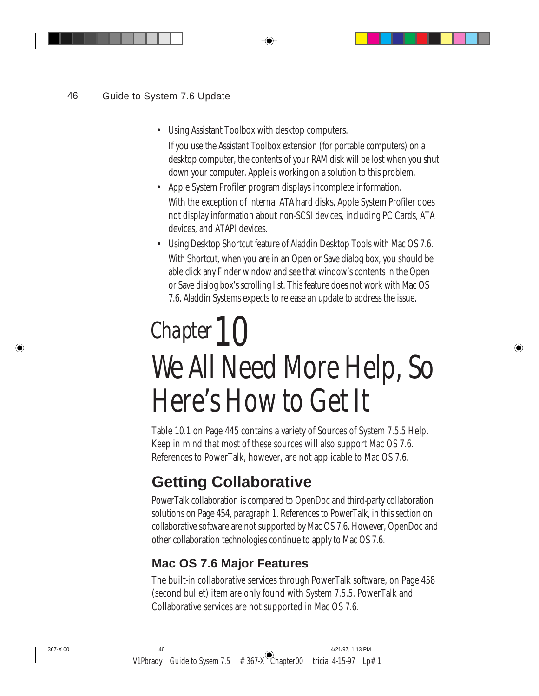- Using Assistant Toolbox with desktop computers. If you use the Assistant Toolbox extension (for portable computers) on a desktop computer, the contents of your RAM disk will be lost when you shut down your computer. Apple is working on a solution to this problem.
- Apple System Profiler program displays incomplete information. With the exception of internal ATA hard disks, Apple System Profiler does not display information about non-SCSI devices, including PC Cards, ATA devices, and ATAPI devices.
- Using Desktop Shortcut feature of Aladdin Desktop Tools with Mac OS 7.6. With Shortcut, when you are in an Open or Save dialog box, you should be able click any Finder window and see that window's contents in the Open or Save dialog box's scrolling list. This feature does not work with Mac OS 7.6. Aladdin Systems expects to release an update to address the issue.

# *Chapter*10 We All Need More Help, So Here's How to Get It

Table 10.1 on Page 445 contains a variety of Sources of System 7.5.5 Help. Keep in mind that most of these sources will also support Mac OS 7.6. References to PowerTalk, however, are not applicable to Mac OS 7.6.

# **Getting Collaborative**

PowerTalk collaboration is compared to OpenDoc and third-party collaboration solutions on Page 454, paragraph 1. References to PowerTalk, in this section on collaborative software are not supported by Mac OS 7.6. However, OpenDoc and other collaboration technologies continue to apply to Mac OS 7.6.

## **Mac OS 7.6 Major Features**

The built-in collaborative services through PowerTalk software, on Page 458 (second bullet) item are only found with System 7.5.5. PowerTalk and Collaborative services are not supported in Mac OS 7.6.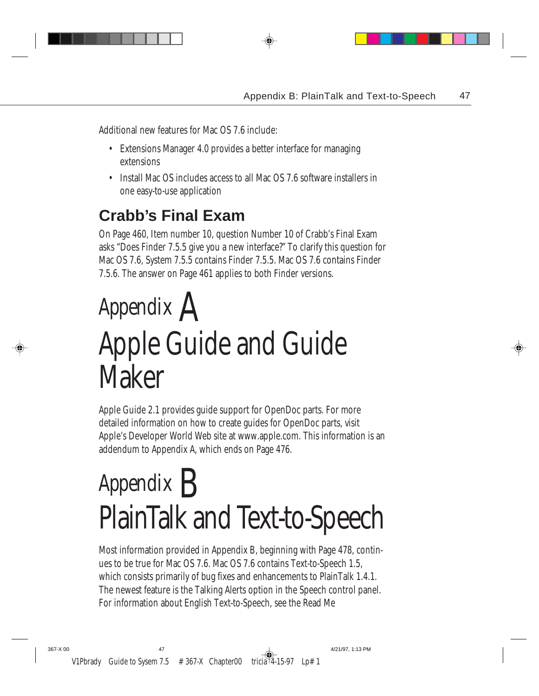Additional new features for Mac OS 7.6 include:

- Extensions Manager 4.0 provides a better interface for managing extensions
- Install Mac OS includes access to all Mac OS 7.6 software installers in one easy-to-use application

# **Crabb's Final Exam**

On Page 460, Item number 10, question Number 10 of Crabb's Final Exam asks "Does Finder 7.5.5 give you a new interface?" To clarify this question for Mac OS 7.6, System 7.5.5 contains Finder 7.5.5. Mac OS 7.6 contains Finder 7.5.6. The answer on Page 461 applies to both Finder versions.

# *Appendix* A Apple Guide and Guide **Maker**

Apple Guide 2.1 provides guide support for OpenDoc parts. For more detailed information on how to create guides for OpenDoc parts, visit Apple's Developer World Web site at www.apple.com. This information is an addendum to Appendix A, which ends on Page 476.

# *Appendix* B PlainTalk and Text-to-Speech

Most information provided in Appendix B, beginning with Page 478, continues to be true for Mac OS 7.6. Mac OS 7.6 contains Text-to-Speech 1.5, which consists primarily of bug fixes and enhancements to PlainTalk 1.4.1. The newest feature is the Talking Alerts option in the Speech control panel. For information about English Text-to-Speech, see the Read Me